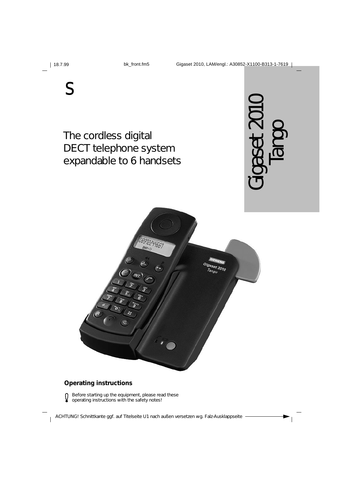

Gigaset 2010, LAM/engl.: A30852-X1100-B313-1-7619



The cordless digital DECT telephone system expandable to 6 handsets





### **Operating instructions**

Q

Before starting up the equipment, please read these operating instructions with the safety notes!

ACHTUNG! Schnittkante ggf. auf Titelseite U1 nach außen versetzen wg. Falz-Ausklappseite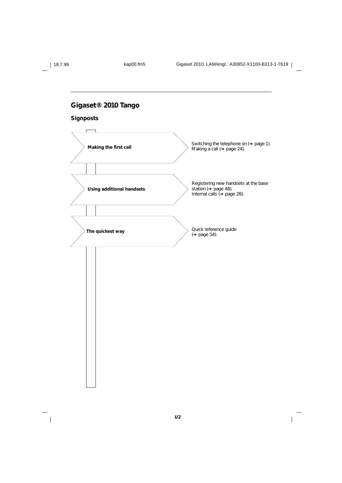

 $\frac{1}{\sqrt{2}}$ 

18.7.99 kap00.fm5 Gigaset 2010, LAM/engl.: A30852-X1100-B313-1-7619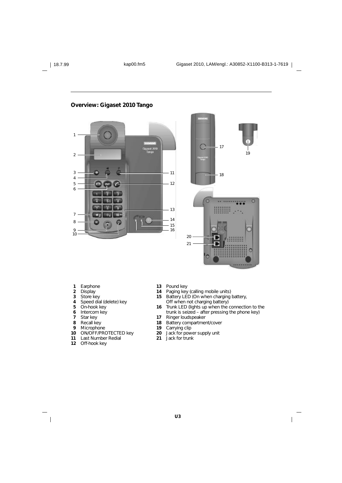#### 1 2 3 11 4 5 12 6 辟 491 開設 w me. 13 **TIP** 7 m m. 14 8 Ğ 15 16 9 10

**Overview: Gigaset 2010 Tango**



- **1** Earphone
- **2** Display
- **3** Store key
- **4 5** Speed dial (delete) key On-hook key
- **6** Intercom key
- **7** Star key
- 
- **8** Recall key
- **9 Microphone**
- **10 11** ON/OFF/PROTECTED key Last Number Redial
- **12** Off-hook key

 $\overline{\phantom{a}}$ 

- **13** Pound key
- **14** Paging key (calling mobile units)
- **15** Battery LED (On when charging battery,
- Off when not charging battery)
- **16** Trunk LED (lights up when the connection to the trunk is seized – after pressing the phone key)

- **17** Ringer loudspeaker
- **18** Battery compartment/cover
- **19** Carrying clip
- **20** Jack for power supply unit
- **21** Jack for trunk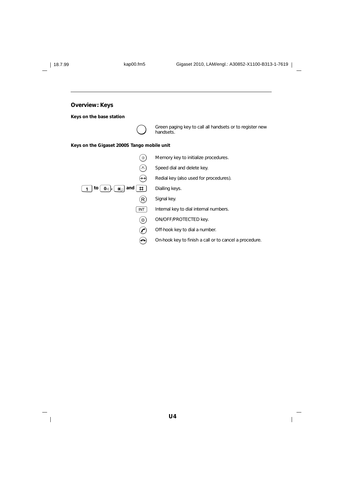$\frac{1}{\sqrt{2}}$ 

| <b>Overview: Keys</b>                                           |                                                                       |
|-----------------------------------------------------------------|-----------------------------------------------------------------------|
| Keys on the base station                                        |                                                                       |
|                                                                 | Green paging key to call all handsets or to register new<br>handsets. |
| Keys on the Gigaset 2000S Tango mobile unit                     |                                                                       |
| $\hat{\rightarrow}$                                             | Memory key to initialize procedures.                                  |
| $\left( \frac{1}{2} \right)$                                    | Speed dial and delete key.                                            |
| رددَ                                                            | Redial key (also used for procedures).                                |
| $\sharp$<br>0 d $J$ , $\left[$ $\star$ $\right]$ and<br>to<br>1 | Dialling keys.                                                        |
| $\left( \mathsf{R}\right)$                                      | Signal key.                                                           |
| INT                                                             | Internal key to dial internal numbers.                                |
| $\left[ \circ \right]$                                          | ON/OFF/PROTECTED key.                                                 |
| $\boldsymbol{\mathcal{C}}$                                      | Off-hook key to dial a number.                                        |
| ≏                                                               | On-hook key to finish a call or to cancel a procedure.                |

 $\overline{1}$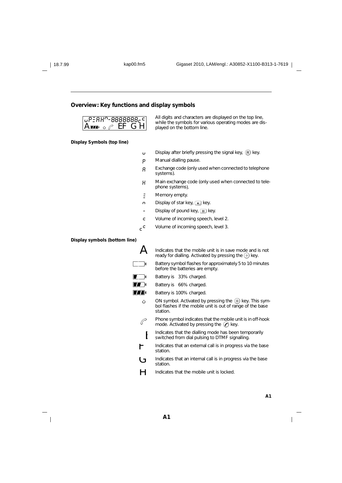### **Overview: Key functions and display symbols**

| $ $ u <code>PEAH</code> n-8888888 $e$ c $ $ |         |  |
|---------------------------------------------|---------|--|
| $\mathbf{A}$ in $\mathcal{C}$               | $E$ FGH |  |

**Display Symbols (top line)**

All digits and characters are displayed on the top line, While the symbols for various operating modes are dis-<br>played on the bottom line.

- **u** Display after briefly pressing the signal key,  $\overline{R}$  key.
- p Manual dialling pause.
- A Exchange code (only used when connected to telephone systems).
- H Main exchange code (only used when connected to telephone systems).
- **z** Memory empty.
- **n** Display of star key,  $\leftarrow$  key.
- Display of pound key,  $\boxed{\text{H}}$  key.
- c Volume of incoming speech, level 2.
- $c^{\mathsf{c}}$ Volume of incoming speech, level 3.

#### **Display symbols (bottom line)**

 $\overline{\phantom{a}}$ 

|   | Indicates that the mobile unit is in save mode and is not<br>ready for dialling. Activated by pressing the $(*)$ key.                   |
|---|-----------------------------------------------------------------------------------------------------------------------------------------|
|   | Battery symbol flashes for approximately 5 to 10 minutes<br>before the batteries are empty.                                             |
|   | Battery is 33% charged.                                                                                                                 |
|   | Battery is 66% charged.                                                                                                                 |
| 国 | Battery is 100% charged.                                                                                                                |
| ڻ | ON symbol. Activated by pressing the $\circ$ ) key. This sym-<br>bol flashes if the mobile unit is out of range of the base<br>station. |
|   | Phone symbol indicates that the mobile unit is in off-hook<br>mode. Activated by pressing the $(\bullet)$ key.                          |
|   | Indicates that the dialling mode has been temporarily<br>switched from dial pulsing to DTMF signalling.                                 |
| r | Indicates that an external call is in progress via the base<br>station.                                                                 |
| Ġ | Indicates that an internal call is in progress via the base<br>station.                                                                 |
|   | Indicates that the mobile unit is locked.                                                                                               |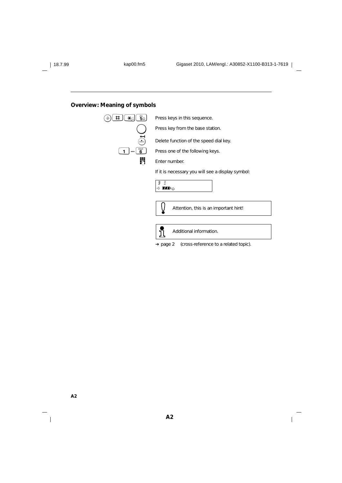### **Overview: Meaning of symbols**



**A2**

 $\overline{\phantom{a}}$ 

 $\mathsf{l}$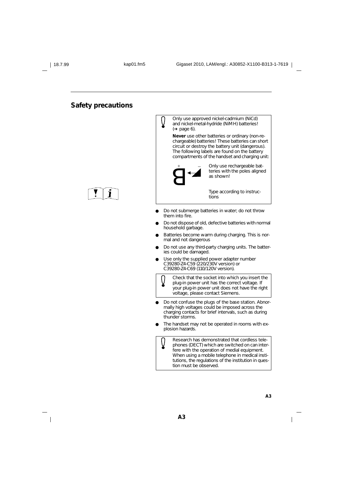### **Safety precautions**





- Do not submerge batteries in water; do not throw them into fire.
- Do not dispose of old, defective batteries with normal household garbage.
- Batteries become warm during charging. This is normal and not dangerous
- Do not use any third-party charging units. The batteries could be damaged.
- Use only the supplied power adapter number C39280-Z4-C59 (220/230V version) or C39280-Z4-C69 (110/120V version).

Check that the socket into which you insert the plug-in power unit has the correct voltage. If your plug-in power unit does not have the right voltage, please contact Siemens.

- Do not confuse the plugs of the base station. Abnormally high voltages could be imposed across the charging contacts for brief intervals, such as during thunder storms.
- The handset may not be operated in rooms with explosion hazards.

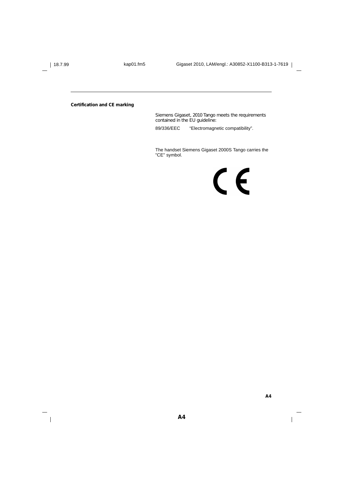$\overline{\phantom{a}}$ 

**Certification and CE marking**

Siemens Gigaset, 2010 Tango meets the requirements contained in the EU guideline:

89/336/EEC "Electromagnetic compatibility".

The handset Siemens Gigaset 2000S Tango carries the "CE" symbol.

 $C<sub>6</sub>$ 

**A4**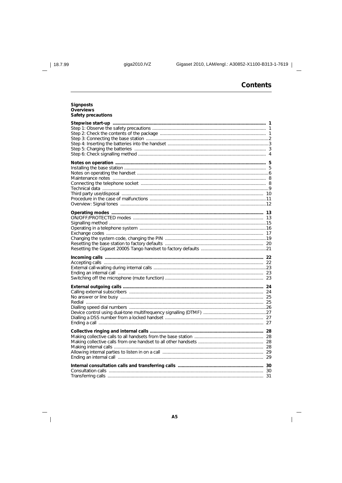$| 18.7.99$ 

 $\frac{1}{\sqrt{2}}$ 

giga2010.IVZ

# **Contents**

 $\overline{1}$ 

| <b>Signposts</b><br><b>Overviews</b><br><b>Safety precautions</b> |  |
|-------------------------------------------------------------------|--|
|                                                                   |  |
|                                                                   |  |
|                                                                   |  |
|                                                                   |  |
|                                                                   |  |
|                                                                   |  |
|                                                                   |  |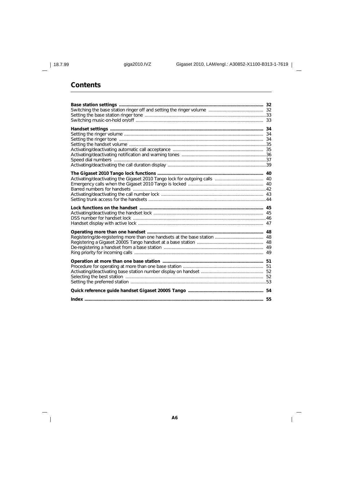$\overline{\phantom{a}}_1$ 

# **Contents**

 $\overline{1}$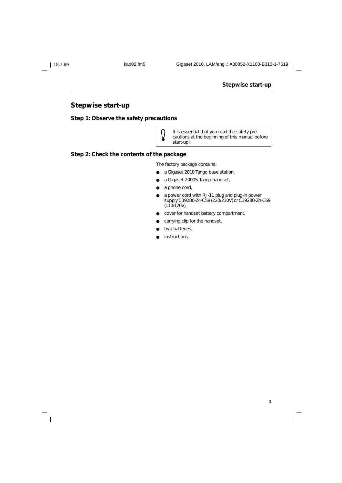$\overline{\phantom{a}}$ 

### **Stepwise start-up**

**1**

 $\overline{\phantom{a}}$ 

# **Stepwise start-up**

**Step 1: Observe the safety precautions**



It is essential that you read the safety precautions at the beginning of this manual before start-up!

### **Step 2: Check the contents of the package**

The factory package contains:

- a Gigaset 2010 *Tango* base station,
- a Gigaset 2000S *Tango* handset,
- a phone cord,
- a power cord with RJ-11 plug and plug-in power supply C39280-Z4-C59 (220/230V) or C39280-Z4-C69 (110/120V),
- cover for handset battery compartment,
- carrying clip for the handset,
- two batteries,
- instructions.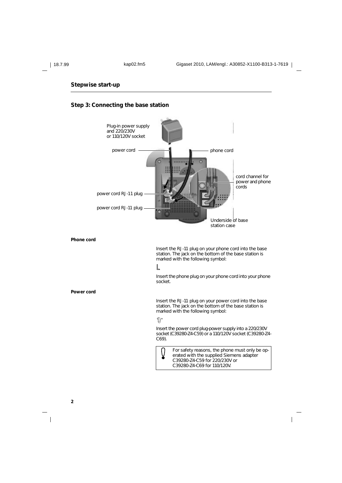### **Stepwise start-up**

### **Step 3: Connecting the base station**



**Phone cord**

Insert the RJ-11 plug on your phone cord into the base station. The jack on the bottom of the base station is marked with the following symbol:

### $\mathbb{L}$

Insert the phone plug on your phone cord into your phone socket.

**Power cord**

Insert the RJ-11 plug on your power cord into the base station. The jack on the bottom of the base station is marked with the following symbol:

### $\mathbb{D}^*$

Insert the power cord plug-power supply into a 220/230V socket (C39280-Z4-C59) or a 110/120V socket (C39280-Z4- C69).



For safety reasons, the phone must only be operated with the supplied Siemens adapter C39280-Z4-C59 for 220/230V or C39280-Z4-C69 for 110/120V.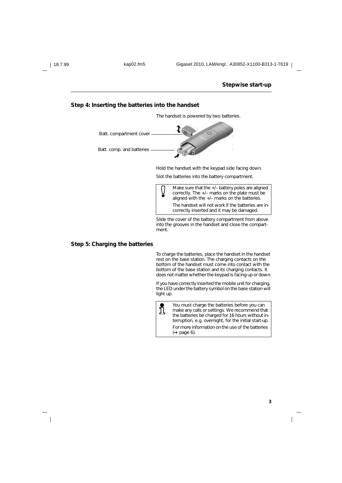### **Stepwise start-up**

#### **Step 4: Inserting the batteries into the handset**

The handset is powered by two batteries.



Hold the handset with the keypad side facing down.

Slot the batteries into the battery compartment.



Slide the cover of the battery compartment from above into the grooves in the handset and close the compartment.

### **Step 5: Charging the batteries**

To charge the batteries, place the handset in the handset rest on the base station. The charging contacts on the bottom of the handset must come into contact with the bottom of the base station and its charging contacts. It does not matter whether the keypad is facing up or down.

If you have correctly inserted the mobile unit for charging, the LED under the battery symbol on the base station will light up.



You must charge the batteries before you can make any calls or settings. We recommend that the batteries be charged for 16 hours without interruption, e.g. overnight, for the initial start-up. For more information on the use of the batteries (➔ page 6).

**3**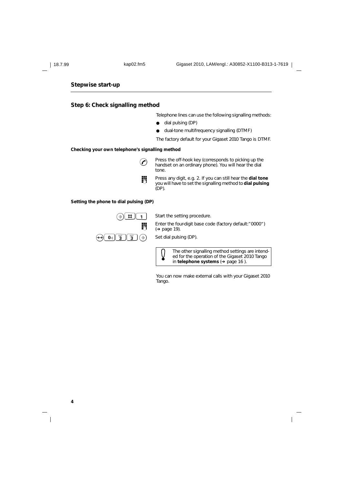**4**

 $\overline{\phantom{a}}$ 

### **Stepwise start-up**

### **Step 6: Check signalling method**

Telephone lines can use the following signalling methods:

- dial pulsing (DP)
- dual-tone multifrequency signalling (DTMF)
- The factory default for your Gigaset 2010 Tango is DTMF.

#### **Checking your own telephone's signalling method**

- C Press the off-hook key (corresponds to picking up the handset on an ordinary phone). You will hear the dial tone.
- **or Press any digit, e.g. 2. If you can still hear the <b>dial tone** you will have to set the signalling method to **dial pulsing** (DP).

#### **Setting the phone to dial pulsing (DP)**



 $\Phi(\mathbf{B})$  **H**  $\begin{bmatrix} 1 \end{bmatrix}$  Start the setting procedure.

Enter the four-digit base code (factory default:"  $0000"$ ) (➔ page 19).



The other signalling method settings are intended for the operation of the Gigaset 2010 Tango in **telephone systems** (➔ page 16 ).

You can now make external calls with your Gigaset 2010 Tango.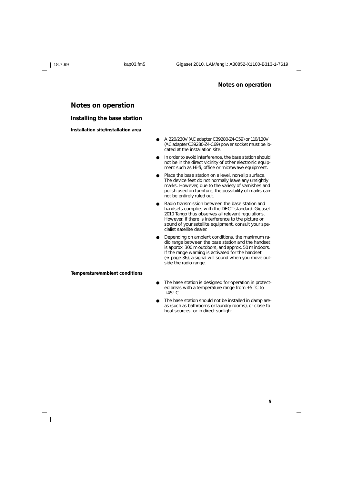#### **Notes on operation**

### **Notes on operation**

#### **Installing the base station**

**Installation site/installation area**

- A 220/230V (AC adapter C39280-Z4-C59) or 110/120V (AC adapter C39280-Z4-C69) power socket must be located at the installation site.
- In order to avoid interference, the base station should not be in the direct vicinity of other electronic equipment such as Hi-fi, office or microwave equipment.
- Place the base station on a level, non-slip surface. The device feet do not normally leave any unsightly marks. However, due to the variety of varnishes and polish used on furniture, the possibility of marks cannot be entirely ruled out.
- Radio transmission between the base station and handsets complies with the DECT standard. Gigaset 2010 Tango thus observes all relevant regulations. However, if there is interference to the picture or sound of your satellite equipment, consult your specialist satellite dealer.
- Depending on ambient conditions, the maximum radio range between the base station and the handset is approx. 300 m outdoors, and approx. 50 m indoors. If the range warning is activated for the handset (➔ page 36), a signal will sound when you move outside the radio range.

**Temperature/ambient conditions**

- The base station is designed for operation in protected areas with a temperature range from +5 °C to  $+45^\circ$  C.
- The base station should not be installed in damp areas (such as bathrooms or laundry rooms), or close to heat sources, or in direct sunlight.

**5**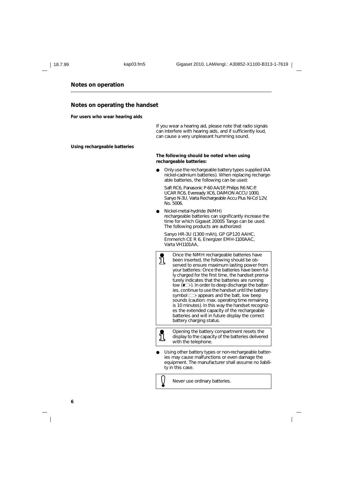**6**

#### **Notes on operation**

#### **Notes on operating the handset**

**For users who wear hearing aids**

If you wear a hearing aid, please note that radio signals can interfere with hearing aids, and if sufficiently loud, can cause a very unpleasant humming sound.

**Using rechargeable batteries**

#### **The following should be noted when using rechargeable batteries:**

Only use the rechargeable battery types supplied (AA nickel-cadmium batteries). When replacing rechargeable batteries, the following can be used:

Saft RC6, Panasonic P-60 AA/1P, Philips R6 NC-P, UCAR RC6, Eveready XC6, DAIMON ACCU 1000, Sanyo N-3U, Varta Rechargeable Accu Plus Ni-Cd 1.2V, No. 5006.

Nickel-metal-hydride (NiMH) rechargeable batteries can significantly increase the time for which Gigaset 2000S *Tango* can be used. The following products are authorized:

Sanyo HR-3U (1300 mAh), GP GP120 AAHC, Emmerich CE R 6, Energizer EMH-1100AAC, Varta VH1101AA,



Opening the battery compartment resets the display to the capacity of the batteries delivered with the telephone.

Using other battery types or non-rechargeable batteries may cause malfunctions or even damage the equipment. The manufacturer shall assume no liability in this case.

Never use ordinary batteries.

่ำไ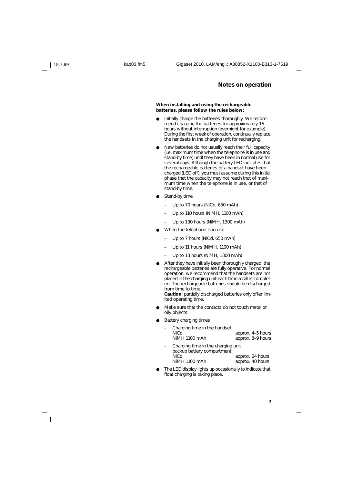#### **Notes on operation**

#### **When installing and using the rechargeable batteries, please follow the rules below:**

- Initially charge the batteries thoroughly. We recommend charging the batteries for approximately 16 hours without interruption (overnight for example). During the first week of operation, continually replace the handsets in the charging unit for recharging.
- New batteries do not usually reach their full capacity (i.e. maximum time when the telephone is in use and stand-by time) until they have been in normal use for several days. Although the battery LED indicates that the rechargeable batteries of a handset have been charged (LED off), you must assume during this initial phase that the capacity may not reach that of maximum time when the telephone is in use, or that of stand-by time.
- Stand-by time
	- Up to 70 hours (NiCd, 650 mAh)
	- Up to 110 hours (NiMH, 1100 mAh)
	- Up to 130 hours (NiMH, 1300 mAh)
- When the telephone is in use
	- Up to 7 hours (NiCd, 650 mAh)
- Up to 11 hours (NiMH, 1100 mAh)
- Up to 13 hours (NiMH, 1300 mAh)
- After they have initially been thoroughly charged, the rechargeable batteries are fully operative. For normal operation, we recommend that the handsets are not placed in the charging unit each time a call is completed. The rechargeable batteries should be discharged from time to time.

**Caution**: partially discharged batteries only offer limited operating time.

- Make sure that the contacts do not touch metal or oily objects.
- **Battery charging times**

| Charging time in the handset<br><b>NiCd</b><br>NiMH 1100 mAh     | approx. 4-5 hours<br>approx. 8-9 hours |
|------------------------------------------------------------------|----------------------------------------|
| Charging time in the charging unit<br>backup battery compartment |                                        |
| NiCd                                                             | approx. 24 hours                       |
| NiMH 1100 mAh                                                    | approx. 40 hours                       |

The LED display lights up occasionally to indicate that float charging is taking place.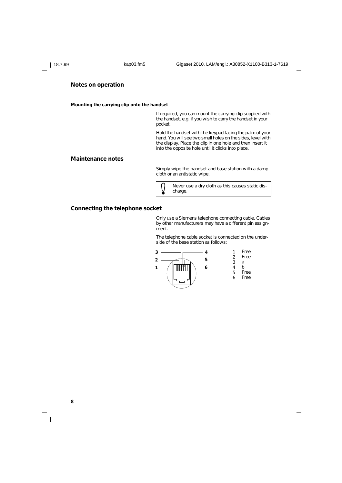### **Notes on operation**

**Mounting the carrying clip onto the handset**

If required, you can mount the carrying clip supplied with the handset, e.g. if you wish to carry the handset in your pocket.

Hold the handset with the keypad facing the palm of your hand. You will see two small holes on the sides, level with the display. Place the clip in one hole and then insert it into the opposite hole until it clicks into place.

### **Maintenance notes**

Simply wipe the handset and base station with a damp cloth or an antistatic wipe.



Never use a dry cloth as this causes static discharge.

### **Connecting the telephone socket**

Only use a Siemens telephone connecting cable. Cables by other manufacturers may have a different pin assignment.

The telephone cable socket is connected on the underside of the base station as follows:



 $\overline{\phantom{a}}$ 

**8**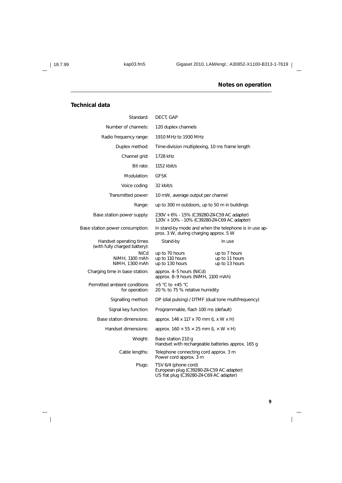$\overline{\phantom{a}}_1$ 

## **Notes on operation**

### **Technical data**

| Standard:                                                | DECT, GAP                                                                                                   |                                                       |
|----------------------------------------------------------|-------------------------------------------------------------------------------------------------------------|-------------------------------------------------------|
| Number of channels:                                      | 120 duplex channels                                                                                         |                                                       |
| Radio frequency range:                                   | 1910 MHz to 1930 MHz                                                                                        |                                                       |
| Duplex method:                                           | Time-division multiplexing, 10 ms frame length                                                              |                                                       |
| Channel grid:                                            | 1728 kHz                                                                                                    |                                                       |
| Bit rate:                                                | 1152 kbit/s                                                                                                 |                                                       |
| Modulation:                                              | <b>GFSK</b>                                                                                                 |                                                       |
| Voice coding:                                            | 32 kbit/s                                                                                                   |                                                       |
| Transmitted power:                                       | 10 mW, average output per channel                                                                           |                                                       |
| Range:                                                   | up to 300 m outdoors, up to 50 m in buildings                                                               |                                                       |
| Base station power supply:                               | 230V + 6% - 15% (C39280-Z4-C59 AC adapter)<br>120V + 10% - 10% (C39280-Z4-C69 AC adapter)                   |                                                       |
| Base station power consumption:                          | prox. 3 W, during charging approx. 5 W                                                                      | In stand-by mode and when the telephone is in use ap- |
| Handset operating times<br>(with fully charged battery): | Stand-by                                                                                                    | In use                                                |
| <b>NiCd</b><br>NiMH, 1100 mAh<br>NiMH, 1300 mAh          | up to 70 hours<br>up to 110 hours<br>up to 130 hours                                                        | up to 7 hours<br>up to 11 hours<br>up to 13 hours     |
| Charging time in base station:                           | approx. 4-5 hours (NiCd)<br>approx. 8-9 hours (NiMH, 1100 mAh)                                              |                                                       |
| Permitted ambient conditions<br>for operation:           | $+5$ °C to $+45$ °C<br>20 % to 75 % relative humidity                                                       |                                                       |
| Signalling method:                                       |                                                                                                             | DP (dial pulsing) / DTMF (dual tone multifrequency)   |
| Signal key function:                                     | Programmable, flash 100 ms (default)                                                                        |                                                       |
| Base station dimensions:                                 | approx. 146 x 117 x 70 mm (L x W x H)                                                                       |                                                       |
| Handset dimensions:                                      | approx. $160 \times 55 \times 25$ mm (L $\times$ W $\times$ H)                                              |                                                       |
| Weight:                                                  | Base station 210 g                                                                                          | Handset with rechargeable batteries approx. 165 g     |
| Cable lengths:                                           | Telephone connecting cord approx. 3 m<br>Power cord approx. 3 m                                             |                                                       |
| Plugs:                                                   | TSV 6/4 (phone cord)<br>European plug (C39280-Z4-C59 AC adapter)<br>US flat plug (C39280-Z4-C69 AC adapter) |                                                       |

 $\overline{1}$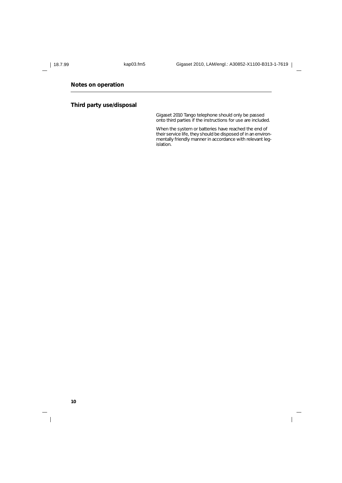$\overline{\phantom{a}}$ 

### **Notes on operation**

### **Third party use/disposal**

Gigaset 2010 Tango telephone should only be passed onto third parties if the instructions for use are included.

When the system or batteries have reached the end of their service life, they should be disposed of in an environmentally friendly manner in accordance with relevant legislation.

**10**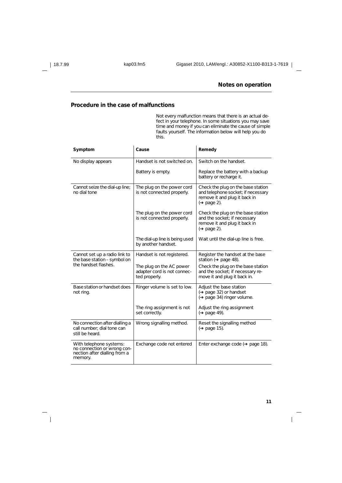### **Notes on operation**

### **Procedure in the case of malfunctions**

Not every malfunction means that there is an actual defect in your telephone. In some situations you may save time and money if you can eliminate the cause of simple faults yourself. The information below will help you do this.

| Symptom                                                                                            | Cause                                                                    | Remedy                                                                                                                         |
|----------------------------------------------------------------------------------------------------|--------------------------------------------------------------------------|--------------------------------------------------------------------------------------------------------------------------------|
| No display appears                                                                                 | Handset is not switched on.                                              | Switch on the handset.                                                                                                         |
|                                                                                                    | Battery is empty.                                                        | Replace the battery with a backup<br>battery or recharge it.                                                                   |
| Cannot seize the dial-up line;<br>no dial tone                                                     | The plug on the power cord<br>is not connected properly.                 | Check the plug on the base station<br>and telephone socket; if necessary<br>remove it and plug it back in<br>$($ page 2).      |
|                                                                                                    | The plug on the power cord<br>is not connected properly.                 | Check the plug on the base station<br>and the socket; if necessary<br>remove it and plug it back in<br>$(\rightarrow$ page 2). |
|                                                                                                    | The dial-up line is being used<br>by another handset.                    | Wait until the dial-up line is free.                                                                                           |
| Cannot set up a radio link to<br>the base station - symbol on                                      | Handset is not registered.                                               | Register the handset at the base<br>station ( $\rightarrow$ page 48).                                                          |
| the handset flashes.                                                                               | The plug on the AC power<br>adapter cord is not connec-<br>ted properly. | Check the plug on the base station<br>and the socket; if necessary re-<br>move it and plug it back in.                         |
| Base station or handset does<br>not ring.                                                          | Ringer volume is set to low.                                             | Adjust the base station<br>$(\rightarrow$ page 32) or handset<br>(→ page 34) ringer volume.                                    |
|                                                                                                    | The ring assignment is not<br>set correctly.                             | Adjust the ring assignment<br>$(\rightarrow$ page 49).                                                                         |
| No connection after dialling a<br>call number; dial tone can<br>still be heard.                    | Wrong signalling method.                                                 | Reset the signalling method<br>$\leftrightarrow$ page 15).                                                                     |
| With telephone systems:<br>no connection or wrong con-<br>nection after dialling from a<br>memory. | Exchange code not entered                                                | Enter exchange code $(\rightarrow$ page 18).                                                                                   |

 $\overline{\phantom{a}}$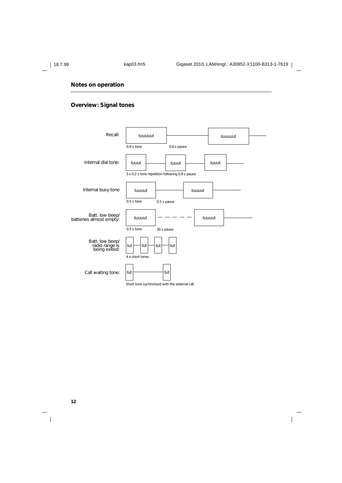$\overline{\phantom{a}}$ 

### **Notes on operation**

### **Overview: Signal tones**



**12**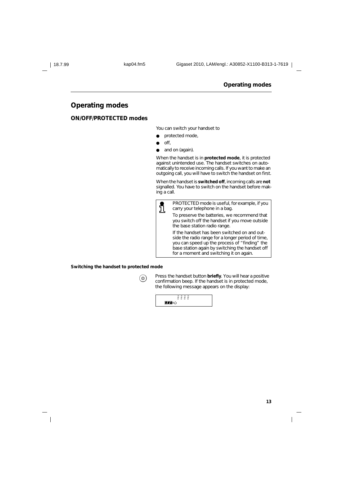### **Operating modes**

### **ON/OFF/PROTECTED modes**

You can switch your handset to

- protected mode,
- $\bullet$  off,
- and on (again).

When the handset is in **protected mode**, it is protected against unintended use. The handset switches on automatically to receive incoming calls. If you want to make an outgoing call, you will have to switch the handset on first.

When the handset is **switched off**, incoming calls are **not** signalled. You have to switch on the handset before making a call.



#### **Switching the handset to protected mode**

| ന |        |
|---|--------|
|   | I<br>I |
|   |        |

**(o)** Press the handset button **briefly**. You will hear a positive confirmation beep. If the handset is in protected mode, the following message appears on the display:

| _ | $\sim$ | $ -$   | $\sim$ |
|---|--------|--------|--------|
|   | -      |        | -      |
| - | -      | ٠<br>- | -      |
|   |        |        |        |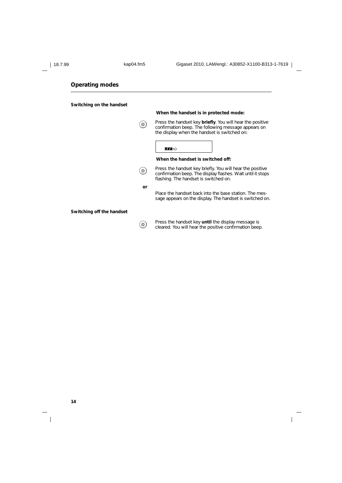#### **Switching on the handset**

# **When the handset is in protected mode: When the handset is switched off: Switching off the handset (a)** Press the handset key **briefly**. You will hear the positive confirmation heap. The following measure announce on confirmation beep. The following message appears on the display when the handset is switched on: **MA**O **(1)** Press the handset key briefly. You will hear the positive confirmation beep. The display flashes. Wait until it stops flashing. The handset is switched on. **or** Place the handset back into the base station. The message appears on the display. The handset is switched on.

**(a)** Press the handset key **until** the display message is cleared. You will hear the positive confirmation beep.

 $\overline{\phantom{a}}$ 

**14**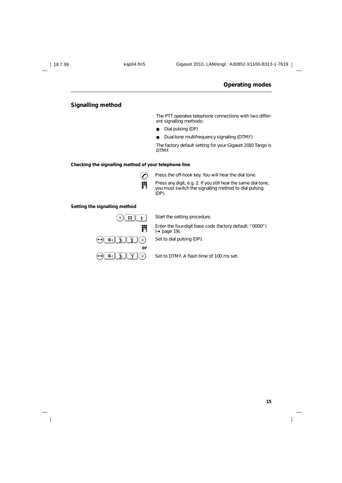$\overline{\phantom{a}}$ 

### **Operating modes**

### **Signalling method**

The PTT operates telephone connections with two different signalling methods:

● Dial pulsing (DP)

● Dual-tone multifrequency signalling (DTMF)

The factory default setting for your Gigaset 2010 Tango is DTMF.

### **Checking the signalling method of your telephone line**



Press the off-hook key. You will hear the dial tone.

**Press any digit, e.g. 2. If you still hear the same dial tone,** you must switch the signalling method to dial pulsing (DP).

### **Setting the signalling method**



 $\bigcirc$   $\uparrow$   $\uparrow$   $\uparrow$  Start the setting procedure.

**Enter the four-digit base code (factory default: "0000")**<br> $(4.8298 \times 10^{10})$ (➔ page 19).

 $\boxed{0}$   $\boxed{3}$   $\boxed{7}$   $\boxed{9}$   $\boxed{3}$   $\boxed{7}$   $\boxed{3}$  Set to DTMF. A flash time of 100 ms set.

 $\mathsf{l}$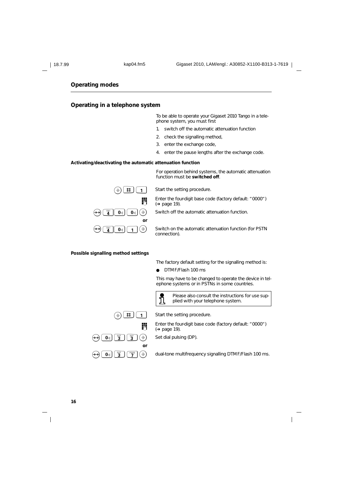### **Operating in a telephone system**

To be able to operate your Gigaset 2010 Tango in a telephone system, you must first

- 1. switch off the automatic attenuation function
- 2. check the signalling method,
- 3. enter the exchange code,
- 4. enter the pause lengths after the exchange code.

For operation behind systems, the automatic attenuation

### **Activating/deactivating the automatic attenuation function**

**or**

function must be **switched off**.  $\Theta(\mathbf{B})$   $\mathbf{\#}$   $\Gamma$  1 Start the setting procedure. **Enter the four-digit base code (factory default: "0000")**<br> $(4 \text{ page } 19)$ (➔ page 19).

 $\begin{bmatrix} \mathbf{0}_{\mathbb{Q}} \end{bmatrix} \begin{bmatrix} \mathbf{\Theta} \end{bmatrix}$  Switch off the automatic attenuation function.

 $\boxed{\mathbf{0}}$   $\boxed{\mathbf{1}}$   $\boxed{\mathbf{\hat{\diamond}}}$  Switch on the automatic attenuation function (for PSTN connection).

#### **Possible signalling method settings**

The factory default setting for the signalling method is:

DTMF/Flash 100 ms

This may have to be changed to operate the device in telephone systems or in PSTNs in some countries.



Please also consult the instructions for use supplied with your telephone system.



**or**

Enter the four-digit base code (factory default: "0000") (➔ page 19).

 $\boxed{0}$   $\boxed{3}$   $\boxed{3}$   $\boxed{3}$   $\boxed{4}$  Set dial pulsing (DP).

 $\boxed{\mathbf{0}_{\text{d}}}$   $\boxed{\mathbf{B}}$   $\boxed{\mathbf{B}}$   $\boxed{\mathbf{B}}$   $\boxed{\mathbf{A}}$  dual-tone multifrequency signalling DTMF/Flash 100 ms.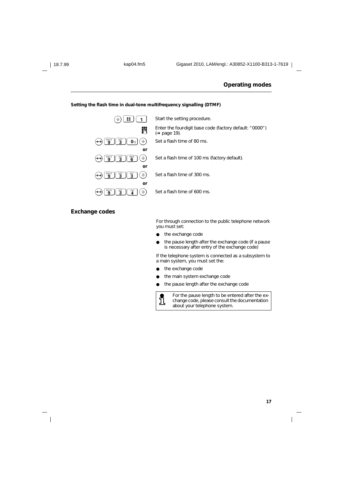#### **Setting the flash time in dual-tone multifrequency signalling (DTMF)**



### **Exchange codes**

For through connection to the public telephone network you must set:

- the exchange code
- the pause length after the exchange code (if a pause is necessary after entry of the exchange code)

If the telephone system is connected as a subsystem to a main system, you must set the:

- the exchange code
- the main system exchange code
- the pause length after the exchange code



For the pause length to be entered after the exchange code, please consult the documentation about your telephone system.

 $\overline{\phantom{a}}$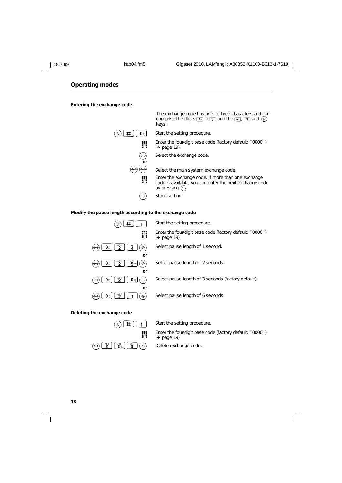#### **Entering the exchange code**



#### **Modify the pause length according to the exchange code**



#### **Deleting the exchange code**



Enter the four-digit base code (factory default: "0000") (➔ page 19).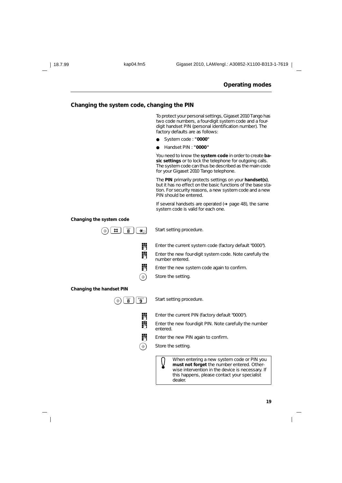#### **Changing the system code, changing the PIN**

To protect your personal settings, Gigaset 2010 Tango has two code numbers, a four-digit system code and a fourdigit handset PIN (personal identification number). The factory defaults are as follows:

- System code : **"0000"**
- Handset PIN : **"0000"**

You need to know the **system code** in order to create **basic settings** or to lock the telephone for outgoing calls. The system code can thus be described as the main code for your Gigaset 2010 Tango telephone.

The **PIN** primarily protects settings on your **handset(s)**, but it has no effect on the basic functions of the base station. For security reasons, a new system code and a new PIN should be entered.

If several handsets are operated (➔ page 48), the same system code is valid for each one.

#### **Changing the system code**



dealer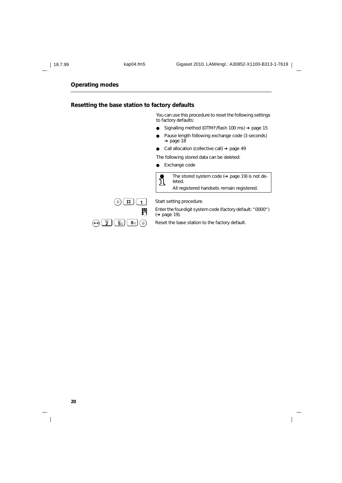### **Resetting the base station to factory defaults**

You can use this procedure to reset the following settings to factory defaults:

- Signalling method (DTMF/flash 100 ms) ➔ page 15
- Pause length following exchange code (3 seconds) → page 18
- Call allocation (collective call) ➔ page 49

The following stored data can be deleted:

● Exchange code



The stored system code (➔ page 19) is not deleted. All registered handsets remain registered.



 $\bigcirc$   $\bigcirc$   $\bigcirc$   $\bigcirc$   $\bigcirc$   $\bigcirc$   $\bigcirc$  Start setting procedure.

**Enter the four-digit system code (factory default: "0000")**<br>  $(+)$  page 19) (➔ page 19).

 $\overline{\phantom{a}}$ 

 $\Theta$   $\left(\frac{AB}{2}\right)$   $\left(\frac{BA}{2}\right)$   $\left(0\right)$   $\left(\frac{A}{2}\right)$  Reset the base station to the factory default.

**20**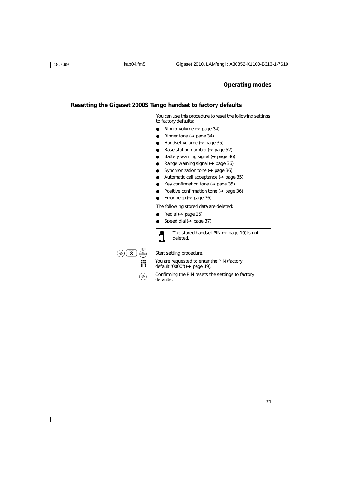### **Resetting the Gigaset 2000S Tango handset to factory defaults**

You can use this procedure to reset the following settings to factory defaults:

- Ringer volume (→ page 34)
- Ringer tone (→ page 34)
- Handset volume (→ page 35)
- Base station number ( $\rightarrow$  page 52)
- Battery warning signal (→ page 36)
- Range warning signal (→ page 36)
- Synchronization tone (→ page 36)
- Automatic call acceptance (→ page 35)
- Key confirmation tone (→ page 35)
- Positive confirmation tone (→ page 36)
- Error beep ( $\rightarrow$  page 36)

The following stored data are deleted:

- Redial (→ page 25)
- Speed dial (→ page 37)



The stored handset PIN (➔ page 19) is not deleted.



 $\left(\widehat{\mathbf{B}}\right)$   $\left(\widehat{\mathbf{B}}\right)$   $\left(\widehat{\mathbf{B}}\right)$  Start setting procedure.

You are requested to enter the PIN (factory<br>  $\overline{AB}$  default "0000") ( $\rightarrow$  page 19) default "0000") (→ page 19).

 $\circled{)}$  Confirming the PIN resets the settings to factory defaults.

 $\overline{\phantom{a}}$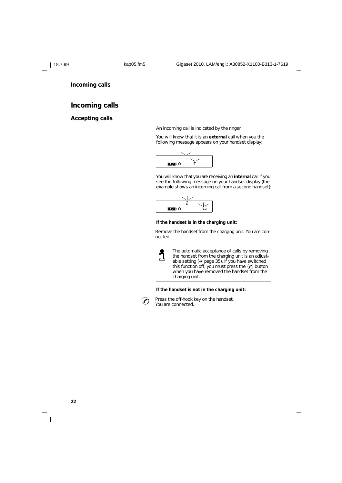**Incoming calls**

### **Incoming calls**

### **Accepting calls**

An incoming call is indicated by the ringer.

You will know that it is an **external** call when you the following message appears on your handset display:



You will know that you are receiving an **internal** call if you see the following message on your handset display (the example shows an incoming call from a second handset):



### **If the handset is in the charging unit:**

Remove the handset from the charging unit. You are connected.



The automatic acceptance of calls by removing the handset from the charging unit is an adjust-able setting (➔ page 35). If you have switched this function off, you must press the  $(\cdot)$  button when you have removed the handset from the charging unit.

#### **If the handset is not in the charging unit:**



 $\odot$  Press the off-hook key on the handset. You are connected.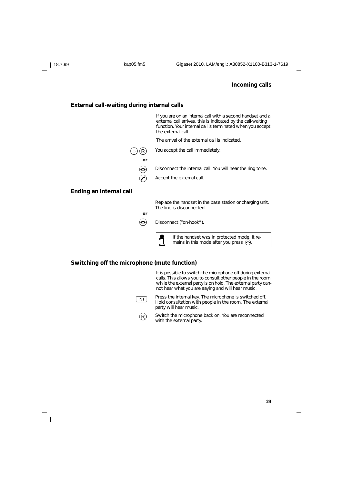#### **Incoming calls**

#### **External call-waiting during internal calls**



### **Switching off the microphone (mute function)**

It is possible to switch the microphone off during external calls. This allows you to consult other people in the room while the external party is on hold. The external party cannot hear what you are saying and will hear music.

- $\sqrt{INT}$  Press the internal key. The microphone is switched off. Hold consultation with people in the room. The external party will hear music.
	- $\widehat{R}$  Switch the microphone back on. You are reconnected with the external party.

 $\overline{\phantom{a}}$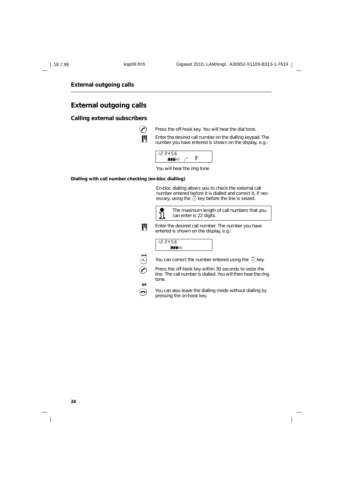### **External outgoing calls**

### **External outgoing calls**

### **Calling external subscribers**



 $\left(\bigwedge\right)$  Press the off-hook key. You will hear the dial tone.



You will hear the ring tone.

**Dialling with call number checking (en-bloc dialling)**

En-bloc dialling allows you to check the external call number entered before it is dialled and correct it, if necessary, using the  $\ddot{\oplus}$  key before the line is seized.



The maximum length of call numbers that you can enter is 22 digits.



**Enter the desired call number. The number you have**<br> **Entered is chourn on the display of the state** entered is shown on the display, e.g.:





 $\widehat{q_{\text{amp}}}$  You can correct the number entered using the  $\bar{q}$  key.

 $\odot$  Press the off-hook key within 30 seconds to seize the line. The call number is dialled. You will then hear the ring tone.

(e) You can also leave the dialling mode without dialling by pressing the on-hook key.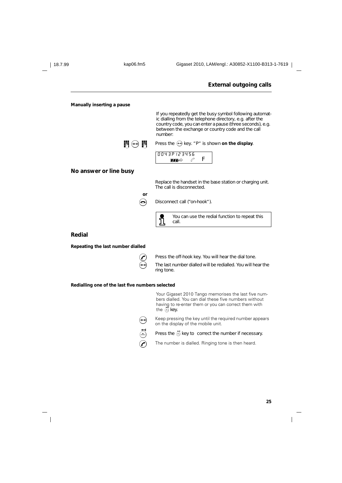# **External outgoing calls Manually inserting a pause** If you repeatedly get the busy symbol following automatic dialling from the telephone directory, e.g. after the country code, you can enter a pause (three seconds), e.g. between the exchange or country code and the call number: **Pi**  $\Theta$  **P** Press the  $\Theta$  key. "P" is shown on the display. 0043P123456  $\blacksquare$ <sup>b</sup>  $\mathscr{C}$  **F No answer or line busy** Replace the handset in the base station or charging unit. The call is disconnected. **or a** Disconnect call ("on-hook"). L You can use the redial function to repeat this call.

### **Redial**

**Repeating the last number dialled**



 $\odot$  Press the off-hook key. You will hear the dial tone.

 $\leftrightarrow$  The last number dialled will be redialled. You will hear the ring tone.

**Redialling one of the last five numbers selected**

Your Gigaset 2010 Tango memorises the last five numbers dialled. You can dial these five numbers without having to re-enter them or you can correct them with the  $\ddot{\oplus}$  key.

 $\leftrightarrow$  Keep pressing the key until the required number appears on the display of the mobile unit.



 $\left(\bigwedge\right)$  The number is dialled. Ringing tone is then heard.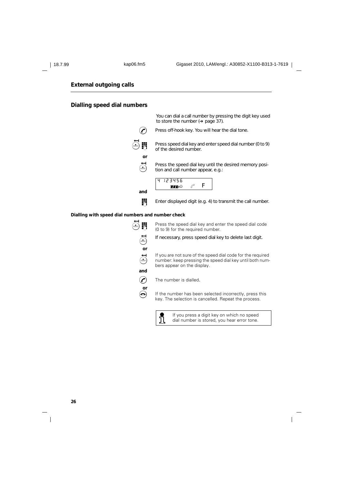### **External outgoing calls**

### **Dialling speed dial numbers**

You can dial a call number by pressing the digit key used to store the number (➔ page 37).  $\odot$  Press off-hook key. You will hear the dial tone. Press speed dial key and enter speed dial number (0 to 9) of the desired number. **or**  $\bigoplus$  Press the speed dial key until the desired memory position and call number appear. e.g.: tion and call number appear, e.g.: **and** 4 123456  $\mathbf{m}$   $\mathbf{v}$   $\mathbf{r}$ 

**Enter displayed digit (e.g. 4) to transmit the call number.** 

#### **Dialling with speed dial numbers and number check**

**or and or**

 $\overline{\bigoplus_{n=0}^{\infty}}$  Press the speed dial key and enter the speed dial code (0 to 9) for the required number.

If necessary, press speed dial key to delete last digit.

<sup>Q</sup> If you are not sure of the speed dial code for the required number: keep pressing the speed dial key until both numbers appear on the display.



 $\Theta$  If the number has been selected incorrectly, press this key. The selection is cancelled. Repeat the process.



If you press a digit key on which no speed dial number is stored, you hear error tone.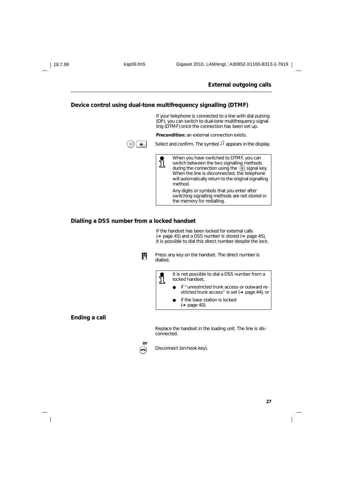|  | Device control using dual-tone multifrequency signalling (DTMF)                                                                                                                                                                                              |
|--|--------------------------------------------------------------------------------------------------------------------------------------------------------------------------------------------------------------------------------------------------------------|
|  | If your telephone is connected to a line with dial pulsing<br>(DP), you can switch to dual-tone multifrequency signal-<br>ling (DTMF) once the connection has been set up.                                                                                   |
|  | <b>Precondition:</b> an external connection exists.                                                                                                                                                                                                          |
|  | Select and confirm. The symbol $\Box$ appears in the display.                                                                                                                                                                                                |
|  | When you have switched to DTMF, you can<br>switch between the two signalling methods<br>during the connection using the $(R)$ signal key.<br>When the line is disconnected, the telephone<br>will automatically return to the original signalling<br>method. |
|  | Any digits or symbols that you enter after<br>switching signalling methods are not stored in<br>the memory for redialling.                                                                                                                                   |

If the handset has been locked for external calls<br>(→ page 45) and a DSS number is stored (→ page 45), it is possible to dial this direct number despite the lock.



**Press any key on the handset. The direct number is** dialled.



### **Ending a call**

 $\overline{\phantom{a}}$ 

Replace the handset in the loading unit. The line is disconnected.



 $\odot$  Disconnect (on-hook key).

 $\overline{\phantom{a}}$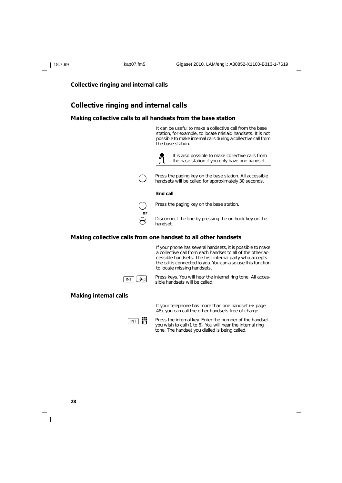### **Collective ringing and internal calls**

### **Collective ringing and internal calls**

#### **Making collective calls to all handsets from the base station**

It can be useful to make a collective call from the base station, for example, to locate mislaid handsets. It is not possible to make internal calls during a collective call from the base station.



Press the paging key on the base station. All accessible handsets will be called for approximately 30 seconds.

#### **End call**



Press the paging key on the base station.

 $\bigodot$  Disconnect the line by pressing the on-hook key on the bandest handset.

#### **Making collective calls from one handset to all other handsets**

If your phone has several handsets, it is possible to make a collective call from each handset to all of the other accessible handsets. The first internal party who accepts the call is connected to you. You can also use this function to locate missing handsets.



 $\boxed{\text{INT}}$  Press keys. You will hear the internal ring tone. All accessible handsets will be called.

#### **Making internal calls**



If your telephone has more than one handset (➔ page 48), you can call the other handsets free of charge.

 $\boxed{\overline{\text{INT}}}$  Press the internal key. Enter the number of the handset you wish to call (1 to 6). You will hear the internal ring tone. The handset you dialled is being called.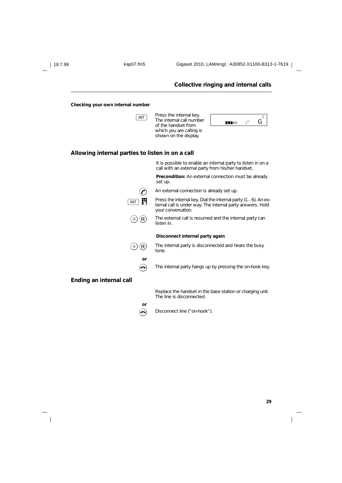18.7.99 kap07.fm5 Gigaset 2010, LAM/engl.: A30852-X1100-B313-1-7619



 $\overline{\phantom{a}}$ 

**29**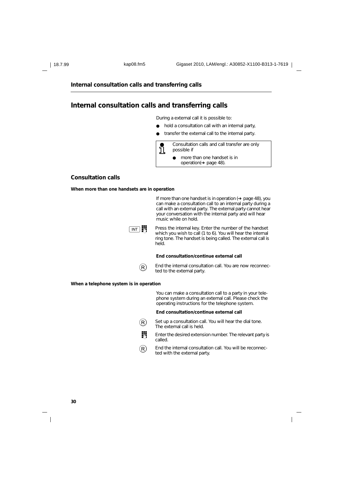**Internal consultation calls and transferring calls**

### **Internal consultation calls and transferring calls**

During a external call it is possible to:

- hold a consultation call with an internal party,
- transfer the external call to the internal party.



#### **Consultation calls**

**When more than one handsets are in operation**



**When a telephone system is in operation**

You can make a consultation call to a party in your telephone system during an external call. Please check the operating instructions for the telephone system.

#### **End consultation/continue external call**

 $\left(\mathsf{R}\right)$  Set up a consultation call. You will hear the dial tone. The external call is held.



 $\widehat{R}$  End the internal consultation call. You will be reconnected with the external party.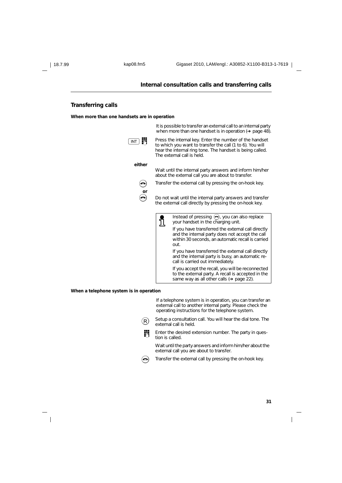#### **Internal consultation calls and transferring calls**

### **Transferring calls**

**When more than one handsets are in operation**



**When a telephone system is in operation**

If a telephone system is in operation, you can transfer an external call to another internal party. Please check the operating instructions for the telephone system.

 $\widehat{R}$  Setup a consultation call. You will hear the dial tone. The external call is held.

**Fig.** Enter the desired extension number. The party in question is called.

Wait until the party answers and inform him/her about the external call you are about to transfer.

 $\bigodot$  Transfer the external call by pressing the on-hook key.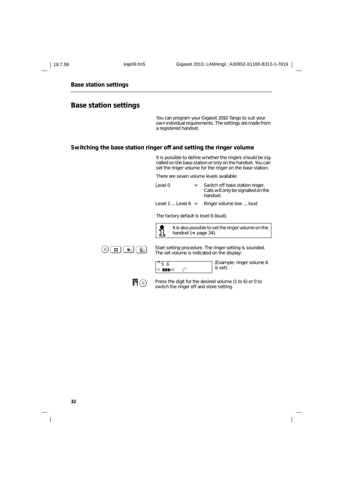| 18 7 QQ |  |
|---------|--|

### **Base station settings**

### **Base station settings**

You can program your Gigaset 2010 Tango to suit your own individual requirements. The settings are made from a registered handset.

### **Switching the base station ringer off and setting the ringer volume**

It is possible to define whether the ringers should be signalled on the base station or only on the handset. You can set the ringer volume for the ringer on the base station.

There are seven volume levels available:

| level 0                        | Switch off base station ringer.<br>Calls will only be signalled on the<br>handset. |
|--------------------------------|------------------------------------------------------------------------------------|
| Level 1 $\dots$ Level 6 $\,$ = | Ringer volume low  loud                                                            |

The factory default is level 6 (loud).



 $5<sub>5</sub>$  $\rightarrow$  fnb

It is also possible to set the ringer volume on the handset (➔ page 34).



 $\circled{+}$   $\overline{+}$   $\overline{+}$   $\overline{+}$   $\overline{+}$   $\overline{+}$   $\overline{+}$  Start setting procedure. The ringer setting is sounded. The set volume is indicated on the display:



(Example: ringer volume 6 is set)

 $\overline{\phantom{a}}$ 



**Press the digit for the desired volume (1 to 6) or 0 to** switch the ringer off and store setting.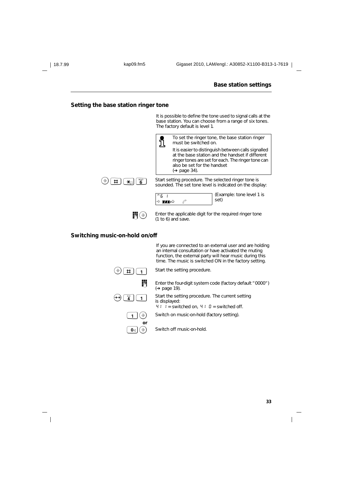#### **Base station settings**

### **Setting the base station ringer tone**

It is possible to define the tone used to signal calls at the base station. You can choose from a range of six tones. The factory default is level 1.



**Enter the applicable digit for the required ringer tone**  $(1 to 6)$  and save.

### **Switching music-on-hold on/off**

If you are connected to an external user and are holding an internal consultation or have activated the muting function, the external party will hear music during this time. The music is switched ON in the factory setting.



**Enter the four-digit system code (factory default "0000")** (➔ page 19).

<sup>O</sup> 4 1 Start the setting procedure. The current setting is displayed:

 $4! \cdot 1 =$  switched on,  $4! \cdot 0 =$  switched off.

 $\widehat{A}$  Switch on music-on-hold (factory setting).



 $\boxed{\mathbf{0}}$   $\odot$  Switch off music-on-hold.

**33**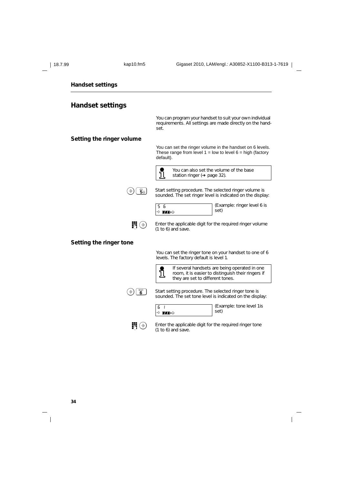| 18.7.99                 | kap10.fm5                                 | Gigaset 2010, LAM/engl.: A30852-X1100-B313-1-7619                                                                                            |
|-------------------------|-------------------------------------------|----------------------------------------------------------------------------------------------------------------------------------------------|
| <b>Handset settings</b> |                                           |                                                                                                                                              |
| <b>Handset settings</b> |                                           |                                                                                                                                              |
|                         |                                           | You can program your handset to suit your own individual<br>requirements. All settings are made directly on the hand-<br>set.                |
|                         | Setting the ringer volume                 |                                                                                                                                              |
|                         |                                           | You can set the ringer volume in the handset on 6 levels.<br>These range from level $1 =$ low to level $6 =$ high (factory<br>default).      |
|                         |                                           | You can also set the volume of the base<br><u>រី</u><br>station ringer ( $\rightarrow$ page 32).                                             |
|                         | '5ี่≏ )<br>$\hat{\rightarrow}$            | Start setting procedure. The selected ringer volume is<br>sounded. The set ringer level is indicated on the display:                         |
|                         |                                           | (Example: ringer level 6 is<br>5 6<br>set)<br>+े ∎∎∌o                                                                                        |
|                         | 騪<br>$(\hat{\mathcal{F}})$                | Enter the applicable digit for the required ringer volume<br>$(1 to 6)$ and save.                                                            |
|                         | Setting the ringer tone                   |                                                                                                                                              |
|                         |                                           | You can set the ringer tone on your handset to one of 6<br>levels. The factory default is level 1.                                           |
|                         |                                           | If several handsets are being operated in one<br>ĭ<br>room, it is easier to distinguish their ringers if<br>they are set to different tones. |
|                         | $\overline{\mathbf{6}}^{\text{NNO}}$<br>⊕ | Start setting procedure. The selected ringer tone is<br>sounded. The set tone level is indicated on the display:                             |
|                         |                                           | (Example: tone level 1 is<br>6<br>- 1<br>set)<br>+ pre                                                                                       |
|                         | $\mathbb{H} \circledcirc$                 | Enter the applicable digit for the required ringer tone<br>$(1 to 6)$ and save.                                                              |

 $\mathsf I$ 

**34**

 $\frac{1}{\sqrt{2}}$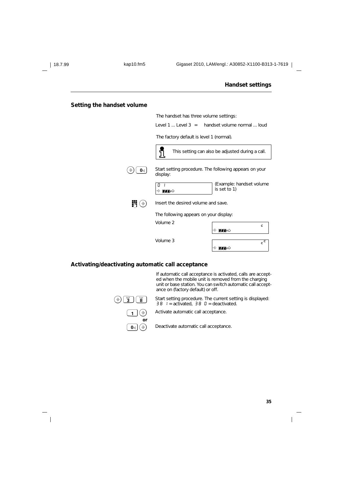### **Setting the handset volume**

The handset has three volume settings: Level 1 ... Level 3 = handset volume normal ... loud The factory default is level 1 (normal). L This setting can also be adjusted during a call.  $\widehat{B}(\widehat{\mathbf{0}}_{\mathsf{q}})$  Start setting procedure. The following appears on your display: (Example: handset volume  $\boxed{0}$ is set to 1)  $\Rightarrow$  me $\circ$  $\mathbf{B}(\mathbf{\Theta})$  Insert the desired volume and save. The following appears on your display: Volume 2 c ം<br>P fon Volume 3 c c ം<br>P **fal** 

### **Activating/deactivating automatic call acceptance**

If automatic call acceptance is activated, calls are accepted when the mobile unit is removed from the charging unit or base station. You can switch automatic call acceptance on (factory default) or off.



 $\bigcirc$   $\bigcirc$   $\bigcirc$   $\bigcirc$   $\bigcirc$   $\bigcirc$   $\bigcirc$   $\bigcirc$   $\bigcirc$   $\bigcirc$   $\bigcirc$  start setting procedure. The current setting is displayed:<br>38 1 = activated, 38 0 = deactivated.



 $\boxed{\mathbf{0}}$   $\odot$  Deactivate automatic call acceptance.

Activate automatic call acceptance.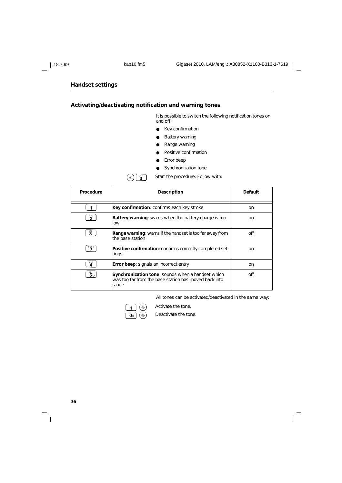### **Activating/deactivating notification and warning tones**

It is possible to switch the following notification tones on and off:

- Key confirmation
- **Battery warning**
- Range warning
- Positive confirmation
- Error beep
- Synchronization tone

 $\left(\widehat{\mathbf{3}}\right)$   $\begin{bmatrix} \mathbf{B}_{\text{B}} \\ \mathbf{B}_{\text{B}} \end{bmatrix}$  Start the procedure. Follow with:

| Procedure                                     | <b>Description</b>                                                                                                  | <b>Default</b> |
|-----------------------------------------------|---------------------------------------------------------------------------------------------------------------------|----------------|
|                                               | Key confirmation: confirms each key stroke                                                                          | on             |
| $\mathbf{\hat{2}}^{\text{BC}}$                | <b>Battery warning:</b> warns when the battery charge is too<br>low                                                 | on             |
| $\overline{\mathbf{3}}$                       | <b>Range warning:</b> warns if the handset is too far away from<br>the base station                                 | off            |
| <sup>PORS</sup>                               | <b>Positive confirmation:</b> confirms correctly completed set-<br>tings                                            | on             |
| GHI<br>4                                      | <b>Error beep:</b> signals an incorrect entry                                                                       | on             |
| $\overline{5}$ <sup><math>\alpha</math></sup> | Synchronization tone: sounds when a handset which<br>was too far from the base station has moved back into<br>range | off            |

All tones can be activated/deactivated in the same way:

 $\overline{\phantom{a}}$ 



 $\widehat{+}$  Activate the tone.



Deactivate the tone.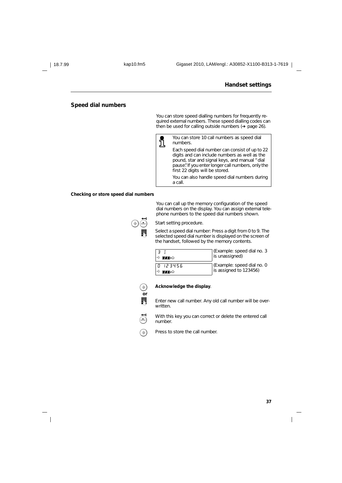### **Speed dial numbers**

You can store speed dialling numbers for frequently required external numbers. These speed dialling codes can then be used for calling outside numbers (➔ page 26).



You can store 10 call numbers as speed dial numbers.

Each speed dial number can consist of up to 22 digits and can include numbers as well as the pound, star and signal keys, and manual "dial pause". If you enter longer call numbers, only the first 22 digits will be stored.

You can also handle speed dial numbers during a call.

#### **Checking or store speed dial numbers**

You can call up the memory configuration of the speed dial numbers on the display. You can assign external telephone numbers to the speed dial numbers shown.



Select a speed dial number: Press a digit from 0 to 9. The<br>
Selected speed dial number is displayed on the screen of selected speed dial number is displayed on the screen of the handset, followed by the memory contents.

| <b>THEO</b>     | [Example: speed dial no. 3]<br> is unassigned]        |
|-----------------|-------------------------------------------------------|
| n 123456<br>πங் | [Example: speed dial no. 0]<br>is assigned to 123456) |



### $\circledast$  Acknowledge the display.

Start setting procedure.

Enter new call number. Any old call number will be overwritten.

 $\bigoplus_{\text{odd}}$  With this key you can correct or delete the entered call number.

 $\circledast$  Press to store the call number.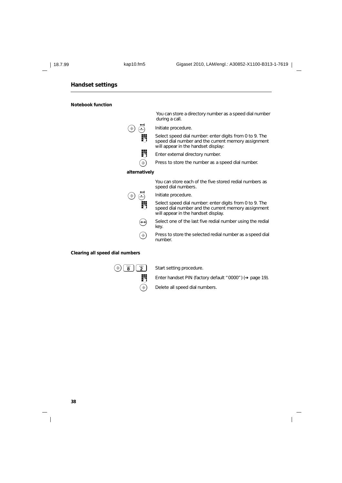**Notebook function**

You can store a directory number as a speed dial number during a call.

 $\overline{\text{S}_{\text{open}}}$  Initiate procedure.



Select speed dial number: enter digits from 0 to 9. The speed dial number and the current memory assignment will appear in the handset display:

- **Enter external directory number.**
- $\widehat{B}$  Press to store the number as a speed dial number.

#### **alternatively**

You can store each of the five stored redial numbers as speed dial numbers.

Initiate procedure.

Select speed dial number: enter digits from 0 to 9. The speed dial number and the current memory assignment will appear in the handset display.

 $\leftrightarrow$  Select one of the last five redial number using the redial key.

 $\circledast$  Press to store the selected redial number as a speed dial number.

#### **Clearing all speed dial numbers**

 $\left(\widehat{\mathbf{B}}\right)$   $\begin{bmatrix} \overline{\mathbf{B}} & \mathbf{B} & \mathbf{B} & \mathbf{B} & \mathbf{B} \end{bmatrix}$  Start setting procedure.

<sup>o</sup> Enter handset PIN (factory default "0000") (➔ page 19).

 $\circledast$  Delete all speed dial numbers.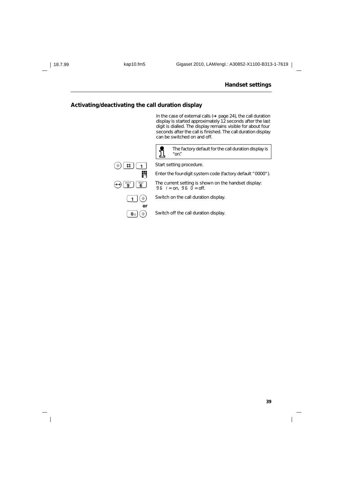### **Activating/deactivating the call duration display**

In the case of external calls (➔ page 24), the call duration display is started approximately 12 seconds after the last digit is dialled. The display remains visible for about four seconds after the call is finished. The call duration display can be switched on and off.



L The factory default for the call duration display is "on".

**Enter the four-digit system code (factory default "0000").** 

 $\overbrace{0}$   $\overbrace{0}^{\overline{w_0 v_1}}$   $\overbrace{0}^{\overline{w_0}}$  The current setting is shown on the handset display:<br>  $96$   $l =$  on,  $96$   $0 =$  off.

 $\boxed{1}$   $\odot$  Switch on the call duration display.



 $\boxed{\mathbf{0}}$   $\odot$  Switch off the call duration display.

 $\overline{\phantom{a}}$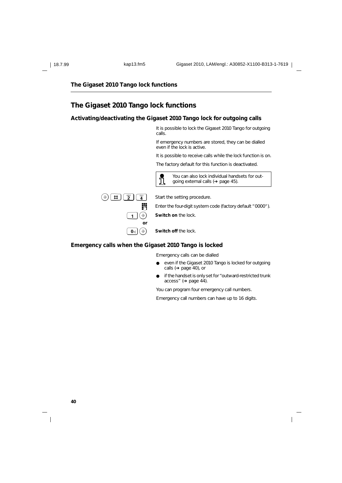### **The Gigaset 2010 Tango lock functions**

### **Activating/deactivating the Gigaset 2010 Tango lock for outgoing calls**

It is possible to lock the Gigaset 2010 Tango for outgoing calls.

If emergency numbers are stored, they can be dialled even if the lock is active.

It is possible to receive calls while the lock function is on.

The factory default for this function is deactivated.



L You can also lock individual handsets for outgoing external calls (➔ page 45).

**Fig.** Enter the four-digit system code (factory default "0000").

 $\widehat{A}$  **Switch on** the lock.

 $\boxed{\mathbf{0}_{\mathbb{Q}}(\widehat{\mathbb{R}})}$  **Switch off** the lock.

### **Emergency calls when the Gigaset 2010 Tango is locked**

Emergency calls can be dialled

- even if the Gigaset 2010 Tango is locked for outgoing calls (➔ page 40), or
- if the handset is only set for "outward-restricted trunk access" (➔ page 44).

You can program four emergency call numbers.

Emergency call numbers can have up to 16 digits.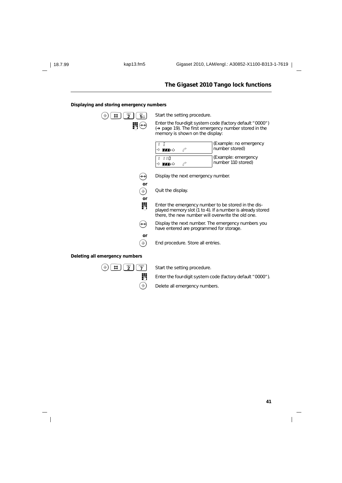#### **Displaying and storing emergency numbers**

| jkl<br>5∆ | Start the setting procedure.                                                               |
|-----------|--------------------------------------------------------------------------------------------|
|           | Enter the four-digit system of<br>(→ page 19). The first emer<br>memory is shown on the di |
|           | மும்                                                                                       |
|           | 1 I O<br>ம∎ு                                                                               |
|           | Display the next emergency                                                                 |
| or<br>€   | Quit the display.                                                                          |
| or        | Enter the emergency numb<br>played memory slot (1 to 4).<br>there, the new number will     |
|           | Display the next number. The<br>have entered are programm                                  |
| or        | End procedure. Store all en                                                                |
|           |                                                                                            |

**Enter the four-digit system code (factory default "0000")** (→ page 19). The first emergency number stored in the nory is shown on the display:

| †� <b>ππ</b> ∌৬     | [Example: no emergency]<br>number stored)  |
|---------------------|--------------------------------------------|
| - 1-110<br>∸ੇ ∎77∌৬ | Example: emergency<br>  number 110 stored) |



ENTE Enter the emergency number to be stored in the dis-<br>played memory slot (1 to 4). If a number is already stored e, the new number will overwrite the old one.

lay the next number. The emergency numbers you entered are programmed for storage.

procedure. Store all entries.

#### **Deleting all emergency numbers**

 $\widehat{B}(\widehat{\mathbf{H}})(\widehat{\mathbf{H}})(\widehat{\mathbf{Z}})(\widehat{\mathbf{Z}})$  Start the setting procedure.

**Fig.** Enter the four-digit system code (factory default "0000").

 $\circledast$  Delete all emergency numbers.

 $\overline{\phantom{a}}$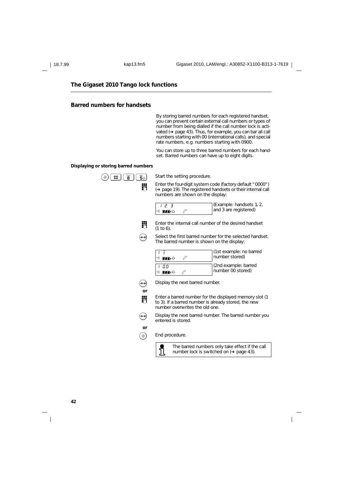### **Barred numbers for handsets**

By storing barred numbers for each registered handset, you can prevent certain external call numbers or types of number from being dialled if the call number lock is activated (➔ page 43). Thus, for example, you can bar all call numbers starting with 00 (international calls), and special rate numbers, e.g. numbers starting with 0900.

You can store up to three barred numbers for each handset. Barred numbers can have up to eight digits.

#### **Displaying or storing barred numbers**

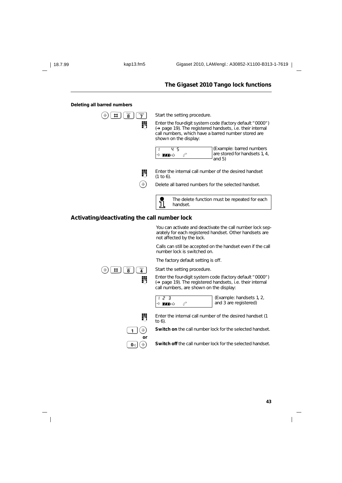(Example: barred numbers are stored for handsets 1, 4,

### **The Gigaset 2010 Tango lock functions**

#### **Deleting all barred numbers**

 $\Rightarrow$   $\boxed{1}$   $\boxed{8}$   $\boxed{7}$   $\boxed{9}$  Start the setting procedure. **Enter the four-digit system code (factory default "0000")**<br>(A page 10) The registered bandcets i.e. their internal (➔ page 19). The registered handsets, i.e. their internal call numbers, which have a barred number stored are shown on the display: (1 to 6). 1 4 5  $\rightarrow$  matrix  $\circ$ 

**Enter the internal call number of the desired handset** and 5)

 $\circled{)}$  Delete all barred numbers for the selected handset.

The delete function must be repeated for each j handset.

### **Activating/deactivating the call number lock**

You can activate and deactivate the call number lock separately for each registered handset. Other handsets are not affected by the lock.

Calls can still be accepted on the handset even if the call number lock is switched on.

The factory default setting is off.

 $\widehat{B}(\widehat{B})$   $\widehat{B}$   $\widehat{B}$   $\widehat{B}$   $\widehat{B}$  Start the setting procedure.

**Enter the four-digit system code (factory default "0000")**<br>(A page 10) The registered bandsets i.e. their internal (➔ page 19). The registered handsets, i.e. their internal call numbers, are shown on the display:

|  | - |      |  |
|--|---|------|--|
|  |   | ா⊿⊧் |  |
|  |   |      |  |

 $\overline{a}$ 

(Example: handsets 1, 2, and 3 are registered)



to  $6)$ 



 $\widehat{1}(\widehat{\Theta})$  Switch on the call number lock for the selected handset.

 $\overline{\mathbf{0}_{\mathbb{H}}}(\widehat{\mathbb{R}})$  **Switch off** the call number lock for the selected handset.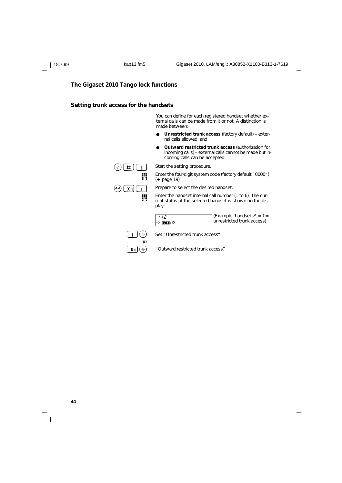### **Setting trunk access for the handsets**

You can define for each registered handset whether external calls can be made from it or not. A distinction is made between:

- Unrestricted trunk access (factory default) external calls allowed, and
- **Outward restricted trunk access** (authorization for incoming calls) – external calls cannot be made but incoming calls can be accepted.



Enter the four-digit system code (factory default "0000") (➔ page 19).



**Enter the handset internal call number (1 to 6). The cur-**<br> $\frac{1}{2}$  represents the selected bandset is shown on the disrent status of the selected handset is shown on the dis-

play: n12 1 (Example: handset  $2 = 1 =$ unrestricted trunk access)

 $\overline{\phantom{a}}$ 

|                             | → Me                    |
|-----------------------------|-------------------------|
| $\left( \mathbb{A} \right)$ | $C_0$ $+$ $\mu$   $C_0$ |

**or**

 $\bigcirc$  Set "Unrestricted trunk access".

 $\left[\begin{matrix} 0 \\ 0 \end{matrix}\right]$   $\left(\begin{matrix} 0 \\ 0 \end{matrix}\right)$   $\left(\begin{matrix} 0 \\ 0 \end{matrix}\right)$  "Outward restricted trunk access".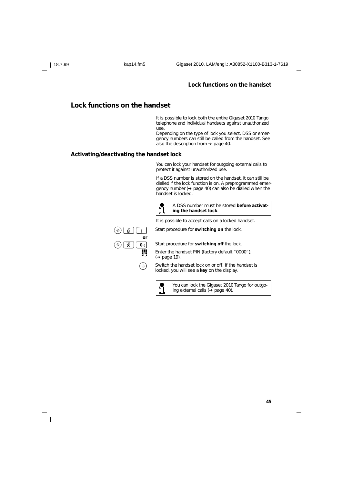#### **Lock functions on the handset**

### **Lock functions on the handset**

It is possible to lock both the entire Gigaset 2010 Tango telephone and individual handsets against unauthorized use.

Depending on the type of lock you select, DSS or emergency numbers can still be called from the handset. See also the description from ➔ page 40.

### **Activating/deactivating the handset lock**

You can lock your handset for outgoing external calls to protect it against unauthorized use.

If a DSS number is stored on the handset, it can still be dialled if the lock function is on. A preprogrammed emergency number (➔ page 40) can also be dialled when the handset is locked.





 $\begin{bmatrix} \overline{y} & \overline{y} & \overline{y} \\ \overline{g} & \overline{g} & \overline{g} \end{bmatrix}$  Start procedure for **switching on** the lock.

It is possible to accept calls on a locked handset.

**B**  $\begin{bmatrix} \overline{8} \\ \overline{9} \\ \overline{1} \\ \overline{1} \\ \overline{1} \\ \overline{1} \\ \overline{1} \\ \overline{1} \\ \overline{1} \\ \overline{1} \\ \overline{1} \\ \overline{1} \\ \overline{2} \\ \overline{2} \\ \overline{3} \\ \overline{2} \\ \overline{3} \\ \overline{2} \\ \overline{3} \\ \overline{1} \\ \overline{2} \\ \overline{3} \\ \overline{2} \\ \overline{3} \\ \overline{3} \\ \overline{4} \\ \overline{2} \\ \overline{3} \\ \overline{4} \\ \overline{2} \\ \$ Enter the handset PIN (factory default "0000"). (➔ page 19).

> $\circledast$  Switch the handset lock on or off. If the handset is locked, you will see a **key** on the display.



You can lock the Gigaset 2010 Tango for outgoing external calls (➔ page 40).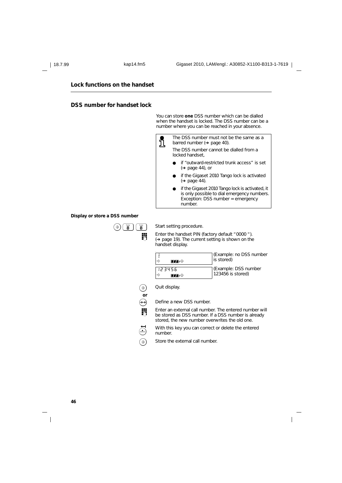### **Lock functions on the handset**

### **DSS number for handset lock**

You can store **one** DSS number which can be dialled when the handset is locked. The DSS number can be a number where you can be reached in your absence.



### **Display or store a DSS number**



**Enter the handset PIN (factory default "0000").**<br>(A page 19) The current setting is shown on the (➔ page 19). The current setting is shown on the handset display.

| ா⊿     | (Example: no DSS number<br>is stored) |
|--------|---------------------------------------|
| 123456 | (Example: DSS number                  |
| ா⊿⊧்   | $123456$ is stored)                   |



 $\leftrightarrow$  Define a new DSS number.

**Enter an external call number. The entered number will**<br>the esternal call number if a DSS number is already be stored as DSS number. If a DSS number is already stored, the new number overwrites the old one.

 $\bigoplus_{\text{cusp}}$  With this key you can correct or delete the entered number.

 $\circledast$  Store the external call number.

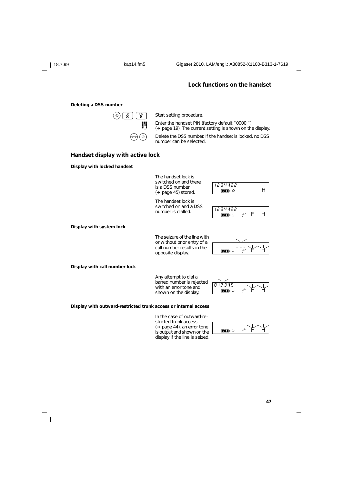### **Lock functions on the handset Deleting a DSS number**  $\left(\widehat{\mathbf{B}}\right)\left(\begin{array}{c}\mathbf{F}\mathbf{B}\mathbf{B}\end{array}\right)$  Start setting procedure. **Enter the handset PIN (factory default "0000").**<br> $\sum_{n=1}^{\infty}$  (A page 10) The current setting is shown on the (➔ page 19). The current setting is shown on the display.  $\Theta$   $\Theta$  Delete the DSS number. If the handset is locked, no DSS number can be selected. **Handset display with active lock Display with locked handset** The handset lock is switched on and there 1234422 is a DSS number  $\mathbf{m}$ <sup>6</sup> H (➔ page 45) stored. The handset lock is switched on and a DSS switched on and a DSS 1234422  $\mathbf{m}$  of  $\mathscr{C}$  f H **Display with system lock** The seizure of the line with or without prior entry of a  $\overline{a}$   $\overline{a}$   $\overline{a}$ call number results in the  $\overline{H}$   $\overline{H}$   $\overline{H}$   $\overline{H}$   $\overline{H}$   $\overline{H}$   $\overline{H}$   $\overline{H}$   $\overline{H}$   $\overline{H}$   $\overline{H}$   $\overline{H}$   $\overline{H}$   $\overline{H}$   $\overline{H}$   $\overline{H}$   $\overline{H}$   $\overline{H}$   $\overline{H}$   $\overline{H}$   $\overline{H}$   $\overline{H}$   $\overline{H}$   $\overline{H}$   $\overline{$ opposite display. **Display with call number lock** Any attempt to dial a  $\mathbf{I}$ barred number is rejected 012345 with an error tone and  $\blacksquare$  is the  $\mathscr{C}$  if shown on the display. **Display with outward-restricted trunk access or internal access** In the case of outward-re-

stricted trunk access (➔ page 44), an error tone is output and shown on the display if the line is seized.

 $\blacksquare$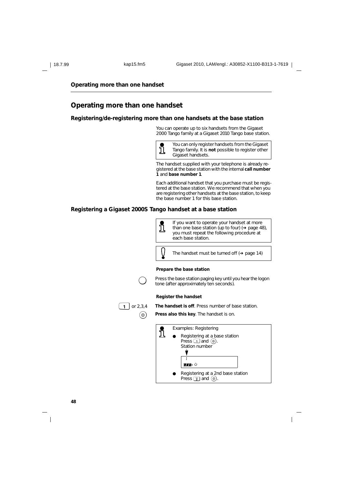**Operating more than one handset**

### **Operating more than one handset**

#### **Registering/de-registering more than one handsets at the base station**

You can operate up to six handsets from the Gigaset 2000 Tango family at a Gigaset 2010 Tango base station.



You can only register handsets from the Gigaset Tango family. It is **not** possible to register other Gigaset handsets.

The handset supplied with your telephone is already registered at the base station with the internal **call number 1** and **base number 1**.

Each additional handset that you purchase must be registered at the base station. We recommend that when you are registering other handsets at the base station, to keep the base number 1 for this base station.

#### **Registering a Gigaset 2000S Tango handset at a base station**



**48**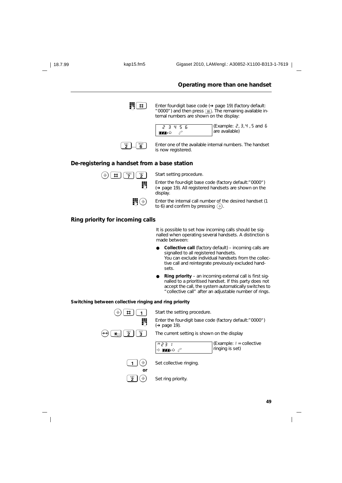| 18.7.99 | kap15.fm5                                                             | Gigaset 2010, LAM/engl.: A30852-X1100-B313-1-7619                                                                                                                                                                                      |
|---------|-----------------------------------------------------------------------|----------------------------------------------------------------------------------------------------------------------------------------------------------------------------------------------------------------------------------------|
|         |                                                                       | Operating more than one handset                                                                                                                                                                                                        |
|         | ♯                                                                     | Enter four-digit base code $(\rightarrow)$ page 19) (factory default:<br>" 0000") and then press $\boxed{\text{H}}$ . The remaining available in-<br>ternal numbers are shown on the display:                                          |
|         |                                                                       | (Example: 2, 3, 4, 5, and 5)<br>23456<br>are available)<br>ℰ<br>π⊷                                                                                                                                                                     |
|         | $\overline{\mathbf{6}}^{\text{no}}$<br>$\mathbf{\hat{2}}^{\text{BC}}$ | Enter one of the available internal numbers. The handset<br>is now registered.                                                                                                                                                         |
|         | De-registering a handset from a base station                          |                                                                                                                                                                                                                                        |
|         | $\overline{7}$<br>$\frac{ABC}{2}$<br>$\sharp$                         | Start setting procedure.                                                                                                                                                                                                               |
|         | 聘                                                                     | Enter the four-digit base code (factory default:" 0000")<br>(→ page 19). All registered handsets are shown on the<br>display.                                                                                                          |
|         | ₩७                                                                    | Enter the internal call number of the desired handset (1)<br>to 6) and confirm by pressing $(*)$ .                                                                                                                                     |
|         | Ring priority for incoming calls                                      |                                                                                                                                                                                                                                        |
|         |                                                                       | It is possible to set how incoming calls should be sig-<br>nalled when operating several handsets. A distinction is<br>made between:                                                                                                   |
|         |                                                                       | <b>Collective call</b> (factory default) – incoming calls are<br>signalled to all registered handsets.<br>You can exclude individual handsets from the collec-<br>tive call and reintegrate previously excluded hand-<br>sets.         |
|         |                                                                       | Ring priority - an incoming external call is first sig-<br>nalled to a prioritised handset. If this party does not<br>accept the call, the system automatically switches to<br>" collective call" after an adjustable number of rings. |
|         | Switching between collective ringing and ring priority                |                                                                                                                                                                                                                                        |
|         | $\hat{\rightarrow}$<br>♯<br>1                                         | Start the setting procedure.                                                                                                                                                                                                           |
|         | ij                                                                    | Enter the four-digit base code (factory default:" 0000")<br>$\leftrightarrow$ page 19).                                                                                                                                                |
|         | $\mathbf{2}^{\circ}$<br>$\mathbf{3}^{\mathrm{eff}}$<br>Ӿҏ             | The current setting is shown on the display                                                                                                                                                                                            |
|         |                                                                       | (Example: $I =$ collective<br>ו נכה<br>ringing is set)<br><b>♦ ™•</b>                                                                                                                                                                  |
|         | $(\hat{\diamond})$<br>1<br>or                                         | Set collective ringing.                                                                                                                                                                                                                |
|         | $\mathbf{\hat{2}}^{\text{BC}}$<br>$(\hat{\diamond})$                  | Set ring priority.                                                                                                                                                                                                                     |
|         |                                                                       | 49                                                                                                                                                                                                                                     |
|         |                                                                       |                                                                                                                                                                                                                                        |
|         |                                                                       |                                                                                                                                                                                                                                        |

 $\overline{a}$ 

 $\frac{1}{\sqrt{2}}$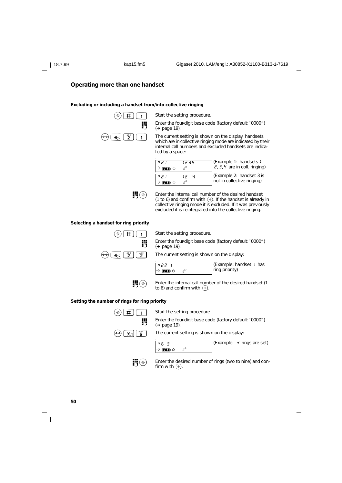### **Operating more than one handset**

#### **Excluding or including a handset from/into collective ringing**

 $\Theta$   $\left( \begin{array}{c} \overline{1} \\ \overline{1} \end{array} \right)$  Start the setting procedure.

**Enter the four-digit base code (factory default:" 0000")**<br>( $\blacktriangleright$  page 19) (➔ page 19).

 $\mathbf{F}[\mathbf{a}]\begin{bmatrix} \mathbf{a} \\ \mathbf{b} \end{bmatrix}$  The current setting is shown on the display. handsets which are in collective ringing mode are indicated by their internal call numbers and excluded handsets are indicated by a space:

| ן קח<br>$\rightarrow$ $\Pi$ $\rightarrow$ $\cup$ | 12 3 4 | (Example 1: handsets I,<br>$\dot{e}$ , 3, 4 are in coll. ringing) |
|--------------------------------------------------|--------|-------------------------------------------------------------------|
| ן קח<br>ராு                                      |        | Example 2: handset 3 is<br>not in collective ringing)             |

 $\begin{bmatrix} \end{bmatrix}$  Enter the internal call number of the desired handset (1 to 6) and confirm with  $\circledast$ . If the handset is already in collective ringing mode it is excluded. If it was previously excluded it is reintegrated into the collective ringing.

### **Selecting a handset for ring priority**



 $\bigcirc$   $\uparrow$   $\uparrow$   $\uparrow$   $\uparrow$  Start the setting procedure.

**Enter the four-digit base code (factory default:" 0000")**<br> $(4.898 \times 19)$ (➔ page 19).

 $\mathbf{F}[\mathbf{a}]$   $\begin{bmatrix} \mathbf{a}_{\text{BC}} \\ \mathbf{2} \end{bmatrix}$   $\begin{bmatrix} \mathbf{a}_{\text{BC}} \\ \mathbf{2} \end{bmatrix}$  The current setting is shown on the display:



n6 3 →<br>ி**∏**ிப்

(Example: handset 1 has ring priority)



**o** Enter the internal call number of the desired handset (1 to 6) and confirm with  $\circledast$ .

#### **Setting the number of rings for ring priority**



**Enter the four-digit base code (factory default:" 0000")**<br>  $(4.0308 \pm 0.000)$ (➔ page 19).

 $\leftrightarrow$   $\bullet$   $\bullet$   $\bullet$   $\bullet$  The current setting is shown on the display:



(Example: 3 rings are set)

**IN**  $\circledast$  Enter the desired number of rings (two to nine) and confirm with  $\circledcirc$ .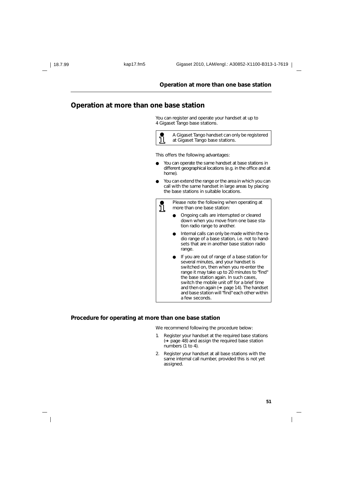### **Operation at more than one base station**

### **Operation at more than one base station**

You can register and operate your handset at up to 4 Gigaset Tango base stations.



This offers the following advantages:

- You can operate the same handset at base stations in different geographical locations (e.g. in the office and at home).
- You can extend the range or the area in which you can call with the same handset in large areas by placing the base stations in suitable locations.

Please note the following when operating at <u>រី</u> more than one base station:

- Ongoing calls are interrupted or cleared down when you move from one base station radio range to another.
- Internal calls can only be made within the radio range of a base station, i.e. not to handsets that are in another base station radio range.
- If you are out of range of a base station for several minutes, and your handset is switched on, then when you re-enter the range it may take up to 20 minutes to "find" the base station again. In such cases, switch the mobile unit off for a brief time and then on again (➔ page 14). The handset and base station will "find" each other within a few seconds.

#### **Procedure for operating at more than one base station**

We recommend following the procedure below:

- 1. Register your handset at the required base stations (➔ page 48) and assign the required base station numbers (1 to 4).
- 2. Register your handset at all base stations with the same internal call number, provided this is not yet assigned.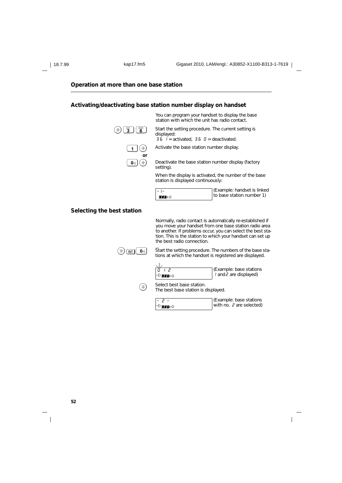### **Operation at more than one base station**

### **Activating/deactivating base station number display on handset**

You can program your handset to display the base displayed:



station with which the unit has radio contact.  $\bigcirc$   $\bigcirc$   $\bigcirc$   $\bigcirc$   $\bigcirc$   $\bigcirc$   $\bigcirc$   $\bigcirc$   $\bigcirc$  Start the setting procedure. The current setting is

 $\overrightarrow{36}$   $\overrightarrow{1}$  = activated,  $\overrightarrow{36}$   $\overrightarrow{0}$  = deactivated.

 $\widehat{A}$  Activate the base station number display.

 $\boxed{\Phi}$  Deactivate the base station number display (factory setting).

> When the display is activated, the number of the base station is displayed continuously:

| $-1-$ | ∏(Example: handset is linked |
|-------|------------------------------|
| ா∎்   | to base station number 1)    |

### **Selecting the best station**

Normally, radio contact is automatically re-established if you move your handset from one base station radio area to another. If problems occur, you can select the best station. This is the station to which your handset can set up the best radio connection.

 $\bigcirc$   $\circ$   $\overline{\text{M}}$   $\overline{\text{O}}$   $\circ$   $\overline{\text{S}}$  Start the setting procedure. The numbers of the base stations at which the handset is registered are displayed.

| $\smallsetminus$ 1 |                                      |
|--------------------|--------------------------------------|
| י הו               | [Example: base stations]             |
| ⊸े ∎∎∍്            | $\vert$ and $\bar{c}$ are displayed) |



 $\circled{)}$  Select best base station.

The best base station is displayed.

| - 2 -                | CExample: base stations    |
|----------------------|----------------------------|
| ان <del>∉77</del> ∎ن | with no. $2$ are selected) |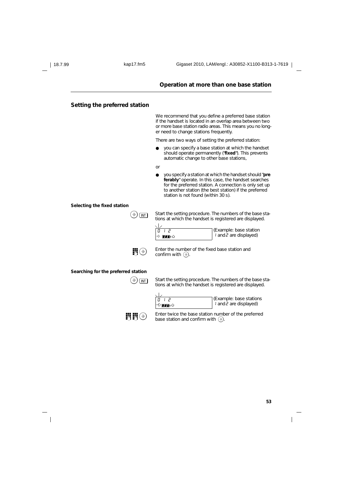#### **Operation at more than one base station**

### **Setting the preferred station**

We recommend that you define a preferred base station if the handset is located in an overlap area between two or more base station radio areas. This means you no longer need to change stations frequently.

There are two ways of setting the preferred station:

- you can specify a base station at which the handset should operate permanently ("**fixed**"). This prevents automatic change to other base stations,
- or
- you specify a station at which the handset should "**pre ferably**" operate. In this case, the handset searches for the preferred station. A connection is only set up to another station (the best station) if the preferred station is not found (within 30 s).

#### **Selecting the fixed station**

 $\Phi(\mathcal{B})$  Start the setting procedure. The numbers of the base stations at which the handset is registered are displayed.

| י וח            | (Example: base station               |
|-----------------|--------------------------------------|
| →े <b>ππ</b> ∎৬ | $\vert$ and $\bar{c}$ are displayed) |



Enter the number of the fixed base station and<br>confirm with  $\widehat{A}$ confirm with  $\textcircled{\textcirc}$ .

**Searching for the preferred station**



 $\textcircled{3}\text{ }$  Start the setting procedure. The numbers of the base stations at which the handset is registered are displayed.



(Example: base stations 1 and2 are displayed)



**IN**  $\circled{S}$  Enter twice the base station number of the preferred base station and confirm with  $\widehat{\Phi}$ .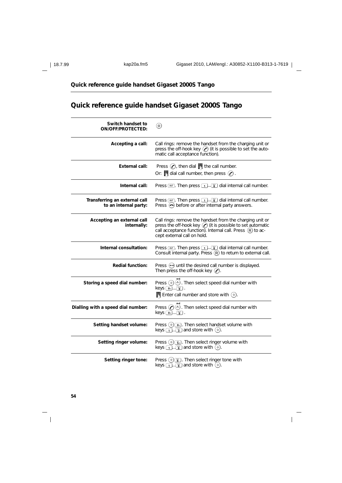$\overline{1}$ 

# **Quick reference guide handset Gigaset 2000S Tango**

# **Quick reference guide handset Gigaset 2000S Tango**

| Switch handset to<br><b>ON/OFF/PROTECTED:</b>          | (@)                                                                                                                                                                                                                          |
|--------------------------------------------------------|------------------------------------------------------------------------------------------------------------------------------------------------------------------------------------------------------------------------------|
| Accepting a call:                                      | Call rings: remove the handset from the charging unit or<br>press the off-hook key $\odot$ (it is possible to set the auto-<br>matic call acceptance function).                                                              |
| <b>External call:</b>                                  | Press $\odot$ , then dial $\blacksquare$ the call number.<br>Or: $\blacksquare$ dial call number, then press $\oslash$ .                                                                                                     |
| Internal call:                                         | Press $[m]$ . Then press $[1] \dots [m]$ dial internal call number.                                                                                                                                                          |
| Transferring an external call<br>to an internal party: | Press $\boxed{\mathbf{m}}$ . Then press $\boxed{\mathbf{1}}$ . $\boxed{\mathbf{s}}$ dial internal call number.<br>Press $\left\langle \bullet \right\rangle$ before or after internal party answers.                         |
| Accepting an external call<br>internally:              | Call rings: remove the handset from the charging unit or<br>press the off-hook key $\oslash$ (it is possible to set automatic<br>call acceptance function). Internal call. Press $(R)$ to ac-<br>cept external call on hold. |
| Internal consultation:                                 | Press $\boxed{\mathbf{m}}$ . Then press $\boxed{\mathbf{1} \cdot \boxed{\mathbf{s}}}$ dial internal call number.<br>Consult internal party. Press $(R)$ to return to external call.                                          |
| <b>Redial function:</b>                                | Press $(\rightarrow)$ until the desired call number is displayed.<br>Then press the off-hook key $(\bullet)$ .                                                                                                               |
| Storing a speed dial number:                           | Press $\circledast$ $\circledast$ . Then select speed dial number with<br>$keys[\overline{\mathbf{o}}_4] \dots \overline{\mathbf{g}}^m]$ .<br><b>Enter call number and store with <math>\left(\frac{1}{2}\right)</math>.</b> |
| Dialling with a speed dial number:                     | Press $(\bullet)$ (and). Then select speed dial number with<br>$keys$ $\boxed{04}$ $\boxed{9}$ .                                                                                                                             |
| Setting handset volume:                                | Press $(\triangle)$ $\sigma_{\mathcal{A}}$ . Then select handset volume with<br>keys $\boxed{1}$ . $\boxed{3}$ and store with $\boxed{\diamond}$ .                                                                           |
| Setting ringer volume:                                 | Press $(*)$ $\frac{m}{50}$ . Then select ringer volume with<br>keys $\boxed{1}$ . $\boxed{w}$ and store with $\boxed{\diamond}$ .                                                                                            |
| Setting ringer tone:                                   | Press $(*)$ $\binom{w}{6}$ . Then select ringer tone with<br>keys $\boxed{1}$ . $\boxed{w}$ and store with $\boxed{\diamond}$ .                                                                                              |

 $\mathbb{R}^3$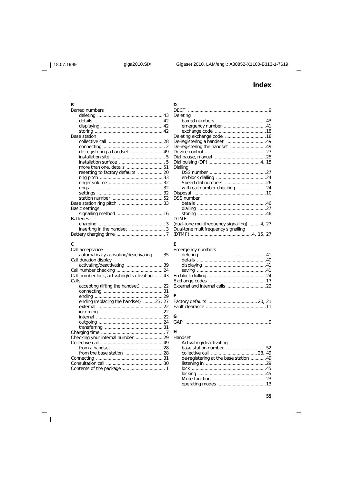**D**

# **Index**

## **B**

| Barred numbers                    |  |
|-----------------------------------|--|
|                                   |  |
|                                   |  |
|                                   |  |
| Base station                      |  |
|                                   |  |
|                                   |  |
| de-registering a handset  49      |  |
|                                   |  |
|                                   |  |
|                                   |  |
| resetting to factory defaults  20 |  |
|                                   |  |
|                                   |  |
|                                   |  |
|                                   |  |
|                                   |  |
|                                   |  |
| Basic settings                    |  |
|                                   |  |
| <b>Batteries</b>                  |  |
|                                   |  |
|                                   |  |
|                                   |  |
|                                   |  |

### **C**

 $\overline{\phantom{a}}_1$ 

| Call acceptance                               |  |
|-----------------------------------------------|--|
| automatically activating/deactivating  35     |  |
| Call duration display                         |  |
|                                               |  |
|                                               |  |
| Call number lock, activating/deactivating  43 |  |
| Calls                                         |  |
| accepting (lifting the handset)  22           |  |
|                                               |  |
|                                               |  |
| ending (replacing the handset) 23, 27         |  |
|                                               |  |
|                                               |  |
|                                               |  |
|                                               |  |
|                                               |  |
|                                               |  |
|                                               |  |
|                                               |  |
|                                               |  |
|                                               |  |
|                                               |  |
|                                               |  |
|                                               |  |
|                                               |  |

| Deleting                                     |  |
|----------------------------------------------|--|
|                                              |  |
|                                              |  |
|                                              |  |
|                                              |  |
|                                              |  |
|                                              |  |
| De-registering the handset  49               |  |
|                                              |  |
|                                              |  |
|                                              |  |
| Dialling                                     |  |
|                                              |  |
|                                              |  |
|                                              |  |
| with call number checking 24                 |  |
|                                              |  |
| <b>DSS number</b>                            |  |
|                                              |  |
|                                              |  |
|                                              |  |
| <b>DTMF</b>                                  |  |
| (dual-tone multifrequency signalling)  4, 27 |  |
| Dual-tone multifrequency signalling          |  |
|                                              |  |
|                                              |  |
| E                                            |  |
| Emergency numbers                            |  |
|                                              |  |
|                                              |  |
|                                              |  |
|                                              |  |
|                                              |  |
|                                              |  |
|                                              |  |
|                                              |  |
|                                              |  |
| F                                            |  |
|                                              |  |
|                                              |  |
|                                              |  |
| G                                            |  |
|                                              |  |
|                                              |  |
| н                                            |  |
| Handset                                      |  |
| Activating/deactivating                      |  |
|                                              |  |
| de-registering at the base station 49        |  |

#### listening in ...............................................29 lock ..........................................................45 locking .....................................................45 Mute function ..........................................23 operating modes .....................................13

 $\mathbf{I}$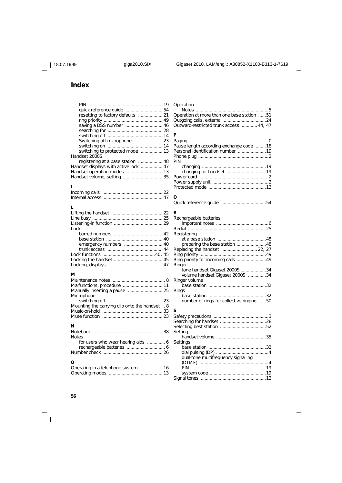# **Index**

| saving a DSS number  46               | Operation<br><b>Notes</b><br>Operation<br>Outgoing o<br>Outward-r |
|---------------------------------------|-------------------------------------------------------------------|
|                                       | P                                                                 |
|                                       | Paging                                                            |
|                                       | Pause lend                                                        |
|                                       | Personal io                                                       |
| Handset 2000S                         | Phone plu                                                         |
|                                       | PIN                                                               |
| Handset displays with active lock  47 | changi                                                            |
|                                       | changi                                                            |
|                                       | Power cor                                                         |
|                                       |                                                                   |

# **I**

## **L**

### **M**

| Microphone                                     |
|------------------------------------------------|
|                                                |
| Mounting the carrying clip onto the handset  8 |
|                                                |
|                                                |
| N                                              |
|                                                |

| <b>Notes</b> |
|--------------|
|              |
|              |
|              |
|              |

# **O**

| Operation at more than one base station 51<br>Outward-restricted trunk access  44, 47       |
|---------------------------------------------------------------------------------------------|
| Þ<br>Pause length according exchange code 18<br>Personal identification number 19<br>PIN    |
|                                                                                             |
| Q                                                                                           |
| R<br>Rechargeable batteries                                                                 |
| Registering                                                                                 |
| preparing the base station 48<br>Replacing the handset  22, 27                              |
| Ringer<br>tone handset Gigaset 2000S 34<br>volume handset Gigaset 2000S 34<br>Ringer volume |
| Rings                                                                                       |
| number of rings for collective ringing 50                                                   |
| S                                                                                           |
| Setting                                                                                     |
| Settings<br>dual-tone multifrequency signalling                                             |
|                                                                                             |
|                                                                                             |

 $\overline{\phantom{a}}$ 

 $\frac{1}{\sqrt{2}}$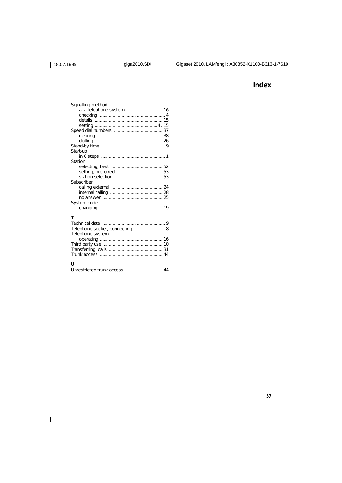$\frac{1}{\sqrt{2}}$ 

# **Index**

| Signalling method<br>at a telephone system  16<br>Start-up |
|------------------------------------------------------------|
|                                                            |
| Station                                                    |
|                                                            |
| Subscriber<br>System code                                  |
| т                                                          |
| Telephone socket, connecting  8<br>Telephone system        |
|                                                            |
| U                                                          |

Unrestricted trunk access ............................. 44

### **57**